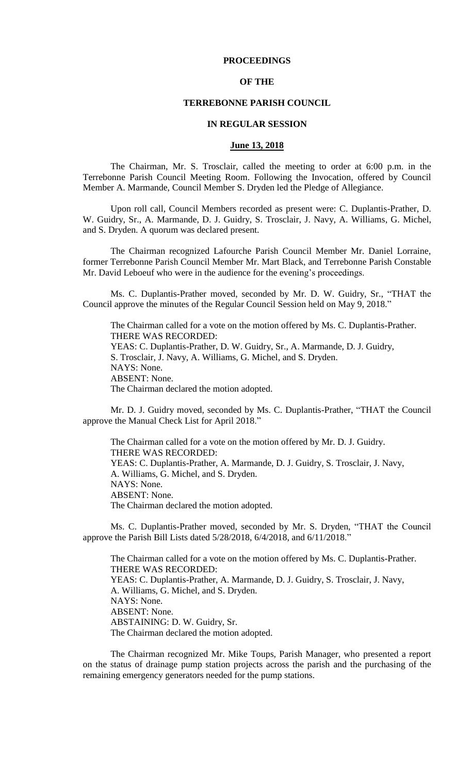## **PROCEEDINGS**

## **OF THE**

#### **TERREBONNE PARISH COUNCIL**

#### **IN REGULAR SESSION**

### **June 13, 2018**

The Chairman, Mr. S. Trosclair, called the meeting to order at 6:00 p.m. in the Terrebonne Parish Council Meeting Room. Following the Invocation, offered by Council Member A. Marmande, Council Member S. Dryden led the Pledge of Allegiance.

Upon roll call, Council Members recorded as present were: C. Duplantis-Prather, D. W. Guidry, Sr., A. Marmande, D. J. Guidry, S. Trosclair, J. Navy, A. Williams, G. Michel, and S. Dryden. A quorum was declared present.

The Chairman recognized Lafourche Parish Council Member Mr. Daniel Lorraine, former Terrebonne Parish Council Member Mr. Mart Black, and Terrebonne Parish Constable Mr. David Leboeuf who were in the audience for the evening's proceedings.

Ms. C. Duplantis-Prather moved, seconded by Mr. D. W. Guidry, Sr., "THAT the Council approve the minutes of the Regular Council Session held on May 9, 2018."

The Chairman called for a vote on the motion offered by Ms. C. Duplantis-Prather. THERE WAS RECORDED: YEAS: C. Duplantis-Prather, D. W. Guidry, Sr., A. Marmande, D. J. Guidry, S. Trosclair, J. Navy, A. Williams, G. Michel, and S. Dryden. NAYS: None. ABSENT: None. The Chairman declared the motion adopted.

Mr. D. J. Guidry moved, seconded by Ms. C. Duplantis-Prather, "THAT the Council approve the Manual Check List for April 2018."

The Chairman called for a vote on the motion offered by Mr. D. J. Guidry. THERE WAS RECORDED: YEAS: C. Duplantis-Prather, A. Marmande, D. J. Guidry, S. Trosclair, J. Navy, A. Williams, G. Michel, and S. Dryden. NAYS: None. ABSENT: None. The Chairman declared the motion adopted.

Ms. C. Duplantis-Prather moved, seconded by Mr. S. Dryden, "THAT the Council approve the Parish Bill Lists dated 5/28/2018, 6/4/2018, and 6/11/2018."

The Chairman called for a vote on the motion offered by Ms. C. Duplantis-Prather. THERE WAS RECORDED: YEAS: C. Duplantis-Prather, A. Marmande, D. J. Guidry, S. Trosclair, J. Navy, A. Williams, G. Michel, and S. Dryden. NAYS: None. ABSENT: None. ABSTAINING: D. W. Guidry, Sr. The Chairman declared the motion adopted.

The Chairman recognized Mr. Mike Toups, Parish Manager, who presented a report on the status of drainage pump station projects across the parish and the purchasing of the remaining emergency generators needed for the pump stations.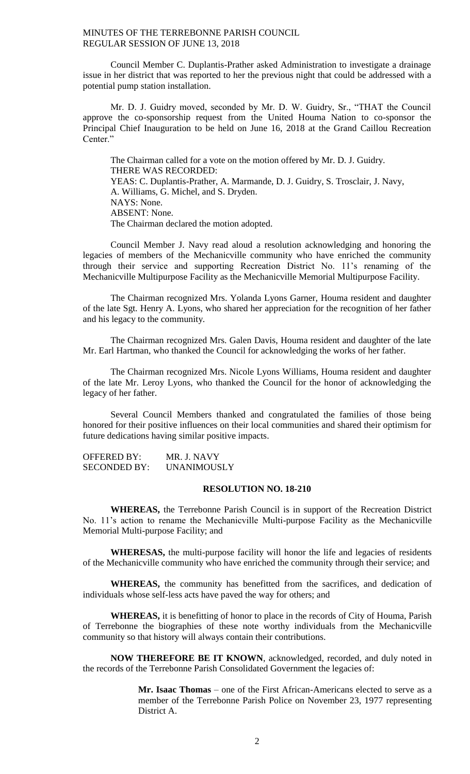Council Member C. Duplantis-Prather asked Administration to investigate a drainage issue in her district that was reported to her the previous night that could be addressed with a potential pump station installation.

Mr. D. J. Guidry moved, seconded by Mr. D. W. Guidry, Sr., "THAT the Council approve the co-sponsorship request from the United Houma Nation to co-sponsor the Principal Chief Inauguration to be held on June 16, 2018 at the Grand Caillou Recreation Center."

The Chairman called for a vote on the motion offered by Mr. D. J. Guidry. THERE WAS RECORDED: YEAS: C. Duplantis-Prather, A. Marmande, D. J. Guidry, S. Trosclair, J. Navy, A. Williams, G. Michel, and S. Dryden. NAYS: None. ABSENT: None. The Chairman declared the motion adopted.

Council Member J. Navy read aloud a resolution acknowledging and honoring the legacies of members of the Mechanicville community who have enriched the community through their service and supporting Recreation District No. 11's renaming of the Mechanicville Multipurpose Facility as the Mechanicville Memorial Multipurpose Facility.

The Chairman recognized Mrs. Yolanda Lyons Garner, Houma resident and daughter of the late Sgt. Henry A. Lyons, who shared her appreciation for the recognition of her father and his legacy to the community.

The Chairman recognized Mrs. Galen Davis, Houma resident and daughter of the late Mr. Earl Hartman, who thanked the Council for acknowledging the works of her father.

The Chairman recognized Mrs. Nicole Lyons Williams, Houma resident and daughter of the late Mr. Leroy Lyons, who thanked the Council for the honor of acknowledging the legacy of her father.

Several Council Members thanked and congratulated the families of those being honored for their positive influences on their local communities and shared their optimism for future dedications having similar positive impacts.

OFFERED BY: MR. J. NAVY SECONDED BY: UNANIMOUSLY

### **RESOLUTION NO. 18-210**

**WHEREAS,** the Terrebonne Parish Council is in support of the Recreation District No. 11's action to rename the Mechanicville Multi-purpose Facility as the Mechanicville Memorial Multi-purpose Facility; and

**WHERESAS,** the multi-purpose facility will honor the life and legacies of residents of the Mechanicville community who have enriched the community through their service; and

**WHEREAS,** the community has benefitted from the sacrifices, and dedication of individuals whose self-less acts have paved the way for others; and

**WHEREAS,** it is benefitting of honor to place in the records of City of Houma, Parish of Terrebonne the biographies of these note worthy individuals from the Mechanicville community so that history will always contain their contributions.

**NOW THEREFORE BE IT KNOWN**, acknowledged, recorded, and duly noted in the records of the Terrebonne Parish Consolidated Government the legacies of:

> **Mr. Isaac Thomas** – one of the First African-Americans elected to serve as a member of the Terrebonne Parish Police on November 23, 1977 representing District A.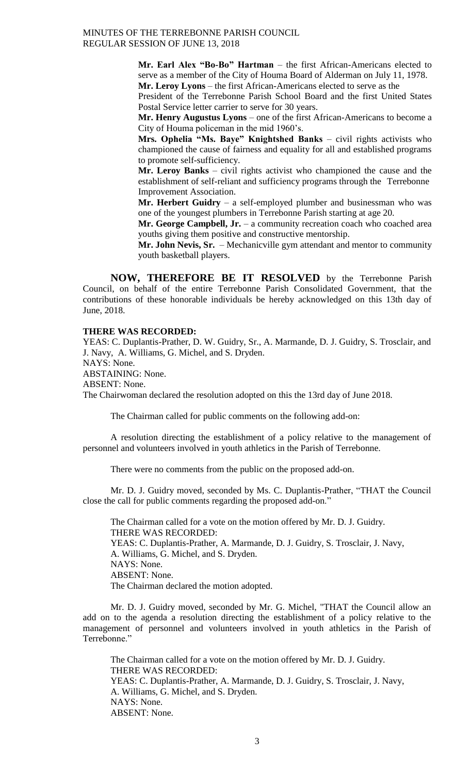> **Mr. Earl Alex "Bo-Bo" Hartman** – the first African-Americans elected to serve as a member of the City of Houma Board of Alderman on July 11, 1978. **Mr. Leroy Lyons** – the first African-Americans elected to serve as the

> President of the Terrebonne Parish School Board and the first United States Postal Service letter carrier to serve for 30 years.

> **Mr. Henry Augustus Lyons** – one of the first African-Americans to become a City of Houma policeman in the mid 1960's.

> **Mrs. Ophelia "Ms. Baye" Knightshed Banks** – civil rights activists who championed the cause of fairness and equality for all and established programs to promote self-sufficiency.

> **Mr. Leroy Banks** – civil rights activist who championed the cause and the establishment of self-reliant and sufficiency programs through the Terrebonne Improvement Association.

> **Mr. Herbert Guidry** – a self-employed plumber and businessman who was one of the youngest plumbers in Terrebonne Parish starting at age 20.

> **Mr. George Campbell, Jr.** – a community recreation coach who coached area youths giving them positive and constructive mentorship.

> **Mr. John Nevis, Sr.** – Mechanicville gym attendant and mentor to community youth basketball players.

**NOW, THEREFORE BE IT RESOLVED** by the Terrebonne Parish Council, on behalf of the entire Terrebonne Parish Consolidated Government, that the contributions of these honorable individuals be hereby acknowledged on this 13th day of June, 2018.

## **THERE WAS RECORDED:**

YEAS: C. Duplantis-Prather, D. W. Guidry, Sr., A. Marmande, D. J. Guidry, S. Trosclair, and J. Navy, A. Williams, G. Michel, and S. Dryden.

NAYS: None.

ABSTAINING: None.

ABSENT: None.

The Chairwoman declared the resolution adopted on this the 13rd day of June 2018.

The Chairman called for public comments on the following add-on:

A resolution directing the establishment of a policy relative to the management of personnel and volunteers involved in youth athletics in the Parish of Terrebonne.

There were no comments from the public on the proposed add-on.

Mr. D. J. Guidry moved, seconded by Ms. C. Duplantis-Prather, "THAT the Council close the call for public comments regarding the proposed add-on."

The Chairman called for a vote on the motion offered by Mr. D. J. Guidry. THERE WAS RECORDED: YEAS: C. Duplantis-Prather, A. Marmande, D. J. Guidry, S. Trosclair, J. Navy, A. Williams, G. Michel, and S. Dryden. NAYS: None. ABSENT: None. The Chairman declared the motion adopted.

Mr. D. J. Guidry moved, seconded by Mr. G. Michel, "THAT the Council allow an add on to the agenda a resolution directing the establishment of a policy relative to the management of personnel and volunteers involved in youth athletics in the Parish of Terrebonne."

The Chairman called for a vote on the motion offered by Mr. D. J. Guidry. THERE WAS RECORDED: YEAS: C. Duplantis-Prather, A. Marmande, D. J. Guidry, S. Trosclair, J. Navy, A. Williams, G. Michel, and S. Dryden. NAYS: None. ABSENT: None.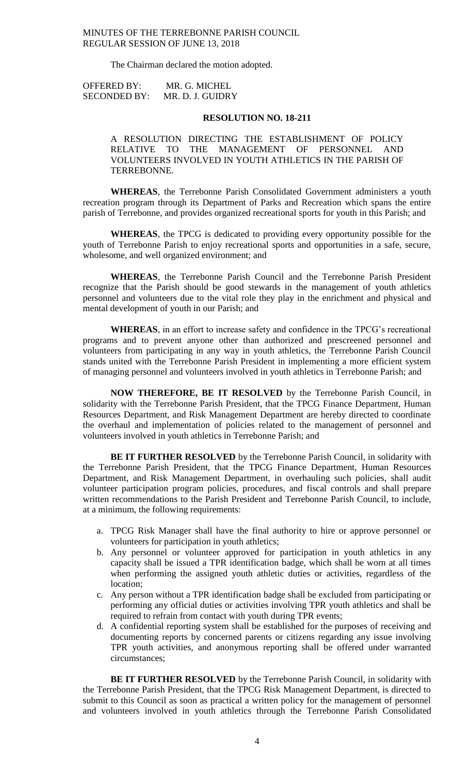The Chairman declared the motion adopted.

OFFERED BY: MR. G. MICHEL SECONDED BY: MR. D. J. GUIDRY

## **RESOLUTION NO. 18-211**

A RESOLUTION DIRECTING THE ESTABLISHMENT OF POLICY RELATIVE TO THE MANAGEMENT OF PERSONNEL AND VOLUNTEERS INVOLVED IN YOUTH ATHLETICS IN THE PARISH OF TERREBONNE.

**WHEREAS**, the Terrebonne Parish Consolidated Government administers a youth recreation program through its Department of Parks and Recreation which spans the entire parish of Terrebonne, and provides organized recreational sports for youth in this Parish; and

**WHEREAS**, the TPCG is dedicated to providing every opportunity possible for the youth of Terrebonne Parish to enjoy recreational sports and opportunities in a safe, secure, wholesome, and well organized environment; and

**WHEREAS**, the Terrebonne Parish Council and the Terrebonne Parish President recognize that the Parish should be good stewards in the management of youth athletics personnel and volunteers due to the vital role they play in the enrichment and physical and mental development of youth in our Parish; and

**WHEREAS**, in an effort to increase safety and confidence in the TPCG's recreational programs and to prevent anyone other than authorized and prescreened personnel and volunteers from participating in any way in youth athletics, the Terrebonne Parish Council stands united with the Terrebonne Parish President in implementing a more efficient system of managing personnel and volunteers involved in youth athletics in Terrebonne Parish; and

**NOW THEREFORE, BE IT RESOLVED** by the Terrebonne Parish Council, in solidarity with the Terrebonne Parish President, that the TPCG Finance Department, Human Resources Department, and Risk Management Department are hereby directed to coordinate the overhaul and implementation of policies related to the management of personnel and volunteers involved in youth athletics in Terrebonne Parish; and

**BE IT FURTHER RESOLVED** by the Terrebonne Parish Council, in solidarity with the Terrebonne Parish President, that the TPCG Finance Department, Human Resources Department, and Risk Management Department, in overhauling such policies, shall audit volunteer participation program policies, procedures, and fiscal controls and shall prepare written recommendations to the Parish President and Terrebonne Parish Council, to include, at a minimum, the following requirements:

- a. TPCG Risk Manager shall have the final authority to hire or approve personnel or volunteers for participation in youth athletics;
- b. Any personnel or volunteer approved for participation in youth athletics in any capacity shall be issued a TPR identification badge, which shall be worn at all times when performing the assigned youth athletic duties or activities, regardless of the location;
- c. Any person without a TPR identification badge shall be excluded from participating or performing any official duties or activities involving TPR youth athletics and shall be required to refrain from contact with youth during TPR events;
- d. A confidential reporting system shall be established for the purposes of receiving and documenting reports by concerned parents or citizens regarding any issue involving TPR youth activities, and anonymous reporting shall be offered under warranted circumstances;

**BE IT FURTHER RESOLVED** by the Terrebonne Parish Council, in solidarity with the Terrebonne Parish President, that the TPCG Risk Management Department, is directed to submit to this Council as soon as practical a written policy for the management of personnel and volunteers involved in youth athletics through the Terrebonne Parish Consolidated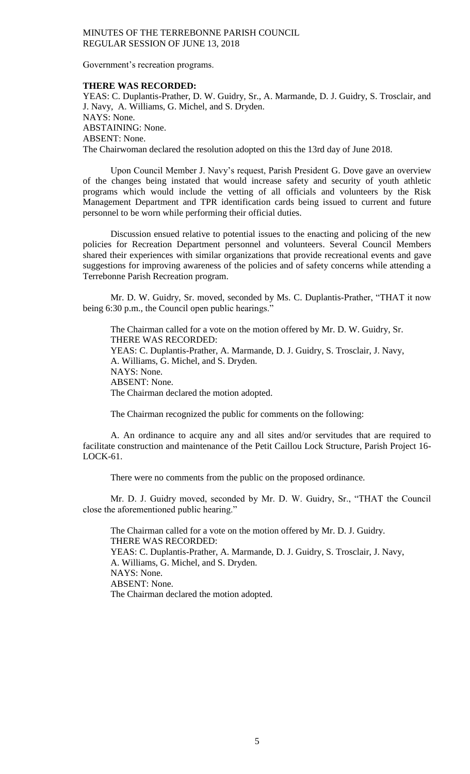Government's recreation programs.

### **THERE WAS RECORDED:**

YEAS: C. Duplantis-Prather, D. W. Guidry, Sr., A. Marmande, D. J. Guidry, S. Trosclair, and J. Navy, A. Williams, G. Michel, and S. Dryden. NAYS: None. ABSTAINING: None. ABSENT: None. The Chairwoman declared the resolution adopted on this the 13rd day of June 2018.

Upon Council Member J. Navy's request, Parish President G. Dove gave an overview of the changes being instated that would increase safety and security of youth athletic programs which would include the vetting of all officials and volunteers by the Risk Management Department and TPR identification cards being issued to current and future personnel to be worn while performing their official duties.

Discussion ensued relative to potential issues to the enacting and policing of the new policies for Recreation Department personnel and volunteers. Several Council Members shared their experiences with similar organizations that provide recreational events and gave suggestions for improving awareness of the policies and of safety concerns while attending a Terrebonne Parish Recreation program.

Mr. D. W. Guidry, Sr. moved, seconded by Ms. C. Duplantis-Prather, "THAT it now being 6:30 p.m., the Council open public hearings."

The Chairman called for a vote on the motion offered by Mr. D. W. Guidry, Sr. THERE WAS RECORDED: YEAS: C. Duplantis-Prather, A. Marmande, D. J. Guidry, S. Trosclair, J. Navy, A. Williams, G. Michel, and S. Dryden. NAYS: None. ABSENT: None. The Chairman declared the motion adopted.

The Chairman recognized the public for comments on the following:

A. An ordinance to acquire any and all sites and/or servitudes that are required to facilitate construction and maintenance of the Petit Caillou Lock Structure, Parish Project 16- LOCK-61.

There were no comments from the public on the proposed ordinance.

Mr. D. J. Guidry moved, seconded by Mr. D. W. Guidry, Sr., "THAT the Council close the aforementioned public hearing."

The Chairman called for a vote on the motion offered by Mr. D. J. Guidry. THERE WAS RECORDED: YEAS: C. Duplantis-Prather, A. Marmande, D. J. Guidry, S. Trosclair, J. Navy, A. Williams, G. Michel, and S. Dryden. NAYS: None. ABSENT: None. The Chairman declared the motion adopted.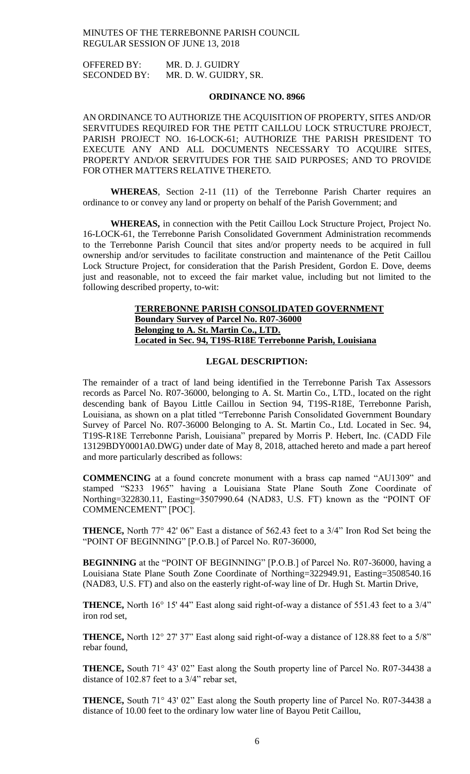OFFERED BY: MR. D. J. GUIDRY SECONDED BY: MR. D. W. GUIDRY, SR.

### **ORDINANCE NO. 8966**

AN ORDINANCE TO AUTHORIZE THE ACQUISITION OF PROPERTY, SITES AND/OR SERVITUDES REQUIRED FOR THE PETIT CAILLOU LOCK STRUCTURE PROJECT, PARISH PROJECT NO. 16-LOCK-61; AUTHORIZE THE PARISH PRESIDENT TO EXECUTE ANY AND ALL DOCUMENTS NECESSARY TO ACQUIRE SITES, PROPERTY AND/OR SERVITUDES FOR THE SAID PURPOSES; AND TO PROVIDE FOR OTHER MATTERS RELATIVE THERETO.

**WHEREAS**, Section 2-11 (11) of the Terrebonne Parish Charter requires an ordinance to or convey any land or property on behalf of the Parish Government; and

**WHEREAS,** in connection with the Petit Caillou Lock Structure Project, Project No. 16-LOCK-61, the Terrebonne Parish Consolidated Government Administration recommends to the Terrebonne Parish Council that sites and/or property needs to be acquired in full ownership and/or servitudes to facilitate construction and maintenance of the Petit Caillou Lock Structure Project, for consideration that the Parish President, Gordon E. Dove, deems just and reasonable, not to exceed the fair market value, including but not limited to the following described property, to-wit:

## **TERREBONNE PARISH CONSOLIDATED GOVERNMENT Boundary Survey of Parcel No. R07-36000 Belonging to A. St. Martin Co., LTD. Located in Sec. 94, T19S-R18E Terrebonne Parish, Louisiana**

## **LEGAL DESCRIPTION:**

The remainder of a tract of land being identified in the Terrebonne Parish Tax Assessors records as Parcel No. R07-36000, belonging to A. St. Martin Co., LTD., located on the right descending bank of Bayou Little Caillou in Section 94, T19S-R18E, Terrebonne Parish, Louisiana, as shown on a plat titled "Terrebonne Parish Consolidated Government Boundary Survey of Parcel No. R07-36000 Belonging to A. St. Martin Co., Ltd. Located in Sec. 94, T19S-R18E Terrebonne Parish, Louisiana" prepared by Morris P. Hebert, Inc. (CADD File 13129BDY0001A0.DWG) under date of May 8, 2018, attached hereto and made a part hereof and more particularly described as follows:

**COMMENCING** at a found concrete monument with a brass cap named "AU1309" and stamped "S233 1965" having a Louisiana State Plane South Zone Coordinate of Northing=322830.11, Easting=3507990.64 (NAD83, U.S. FT) known as the "POINT OF COMMENCEMENT" [POC].

**THENCE,** North 77° 42' 06" East a distance of 562.43 feet to a 3/4" Iron Rod Set being the "POINT OF BEGINNING" [P.O.B.] of Parcel No. R07-36000,

**BEGINNING** at the "POINT OF BEGINNING" [P.O.B.] of Parcel No. R07-36000, having a Louisiana State Plane South Zone Coordinate of Northing=322949.91, Easting=3508540.16 (NAD83, U.S. FT) and also on the easterly right-of-way line of Dr. Hugh St. Martin Drive,

**THENCE,** North 16° 15' 44" East along said right-of-way a distance of 551.43 feet to a 3/4" iron rod set,

**THENCE,** North 12° 27' 37" East along said right-of-way a distance of 128.88 feet to a 5/8" rebar found,

**THENCE,** South 71° 43' 02" East along the South property line of Parcel No. R07-34438 a distance of 102.87 feet to a 3/4" rebar set,

**THENCE,** South 71° 43' 02" East along the South property line of Parcel No. R07-34438 a distance of 10.00 feet to the ordinary low water line of Bayou Petit Caillou,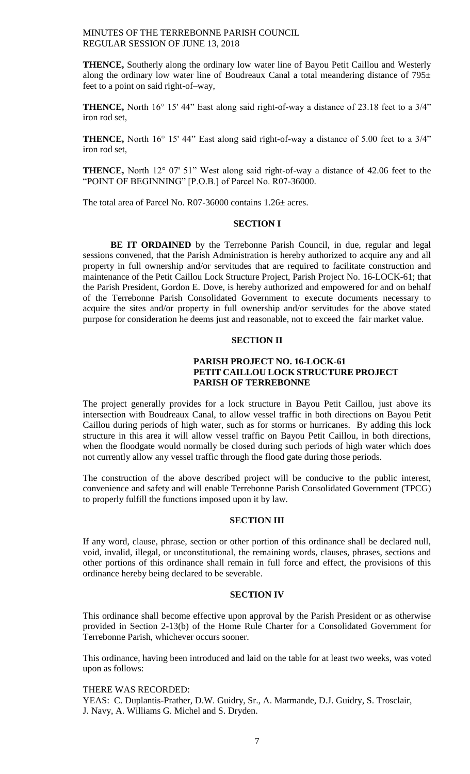**THENCE,** Southerly along the ordinary low water line of Bayou Petit Caillou and Westerly along the ordinary low water line of Boudreaux Canal a total meandering distance of  $795<sup>±</sup>$ feet to a point on said right-of–way,

**THENCE,** North 16° 15' 44" East along said right-of-way a distance of 23.18 feet to a 3/4" iron rod set,

**THENCE,** North 16° 15' 44" East along said right-of-way a distance of 5.00 feet to a 3/4" iron rod set,

**THENCE,** North 12° 07' 51" West along said right-of-way a distance of 42.06 feet to the "POINT OF BEGINNING" [P.O.B.] of Parcel No. R07-36000.

The total area of Parcel No. R07-36000 contains 1.26± acres.

## **SECTION I**

**BE IT ORDAINED** by the Terrebonne Parish Council, in due, regular and legal sessions convened, that the Parish Administration is hereby authorized to acquire any and all property in full ownership and/or servitudes that are required to facilitate construction and maintenance of the Petit Caillou Lock Structure Project, Parish Project No. 16-LOCK-61; that the Parish President, Gordon E. Dove, is hereby authorized and empowered for and on behalf of the Terrebonne Parish Consolidated Government to execute documents necessary to acquire the sites and/or property in full ownership and/or servitudes for the above stated purpose for consideration he deems just and reasonable, not to exceed the fair market value.

## **SECTION II**

## **PARISH PROJECT NO. 16-LOCK-61 PETIT CAILLOU LOCK STRUCTURE PROJECT PARISH OF TERREBONNE**

The project generally provides for a lock structure in Bayou Petit Caillou, just above its intersection with Boudreaux Canal, to allow vessel traffic in both directions on Bayou Petit Caillou during periods of high water, such as for storms or hurricanes. By adding this lock structure in this area it will allow vessel traffic on Bayou Petit Caillou, in both directions, when the floodgate would normally be closed during such periods of high water which does not currently allow any vessel traffic through the flood gate during those periods.

The construction of the above described project will be conducive to the public interest, convenience and safety and will enable Terrebonne Parish Consolidated Government (TPCG) to properly fulfill the functions imposed upon it by law.

#### **SECTION III**

If any word, clause, phrase, section or other portion of this ordinance shall be declared null, void, invalid, illegal, or unconstitutional, the remaining words, clauses, phrases, sections and other portions of this ordinance shall remain in full force and effect, the provisions of this ordinance hereby being declared to be severable.

### **SECTION IV**

This ordinance shall become effective upon approval by the Parish President or as otherwise provided in Section 2-13(b) of the Home Rule Charter for a Consolidated Government for Terrebonne Parish, whichever occurs sooner.

This ordinance, having been introduced and laid on the table for at least two weeks, was voted upon as follows:

## THERE WAS RECORDED:

YEAS: C. Duplantis-Prather, D.W. Guidry, Sr., A. Marmande, D.J. Guidry, S. Trosclair, J. Navy, A. Williams G. Michel and S. Dryden.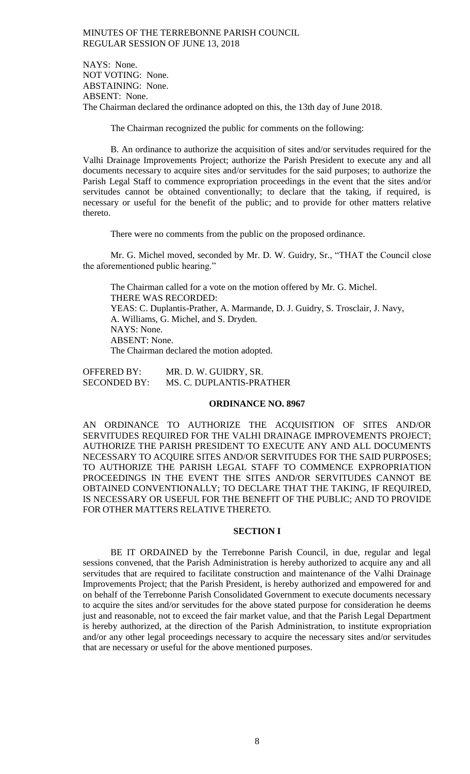NAYS: None. NOT VOTING: None. ABSTAINING: None. ABSENT: None. The Chairman declared the ordinance adopted on this, the 13th day of June 2018.

The Chairman recognized the public for comments on the following:

B. An ordinance to authorize the acquisition of sites and/or servitudes required for the Valhi Drainage Improvements Project; authorize the Parish President to execute any and all documents necessary to acquire sites and/or servitudes for the said purposes; to authorize the Parish Legal Staff to commence expropriation proceedings in the event that the sites and/or servitudes cannot be obtained conventionally; to declare that the taking, if required, is necessary or useful for the benefit of the public; and to provide for other matters relative thereto.

There were no comments from the public on the proposed ordinance.

Mr. G. Michel moved, seconded by Mr. D. W. Guidry, Sr., "THAT the Council close the aforementioned public hearing."

The Chairman called for a vote on the motion offered by Mr. G. Michel. THERE WAS RECORDED: YEAS: C. Duplantis-Prather, A. Marmande, D. J. Guidry, S. Trosclair, J. Navy, A. Williams, G. Michel, and S. Dryden. NAYS: None. ABSENT: None. The Chairman declared the motion adopted.

OFFERED BY: MR. D. W. GUIDRY, SR. SECONDED BY: MS. C. DUPLANTIS-PRATHER

## **ORDINANCE NO. 8967**

AN ORDINANCE TO AUTHORIZE THE ACQUISITION OF SITES AND/OR SERVITUDES REQUIRED FOR THE VALHI DRAINAGE IMPROVEMENTS PROJECT; AUTHORIZE THE PARISH PRESIDENT TO EXECUTE ANY AND ALL DOCUMENTS NECESSARY TO ACQUIRE SITES AND/OR SERVITUDES FOR THE SAID PURPOSES; TO AUTHORIZE THE PARISH LEGAL STAFF TO COMMENCE EXPROPRIATION PROCEEDINGS IN THE EVENT THE SITES AND/OR SERVITUDES CANNOT BE OBTAINED CONVENTIONALLY; TO DECLARE THAT THE TAKING, IF REQUIRED, IS NECESSARY OR USEFUL FOR THE BENEFIT OF THE PUBLIC; AND TO PROVIDE FOR OTHER MATTERS RELATIVE THERETO.

#### **SECTION I**

BE IT ORDAINED by the Terrebonne Parish Council, in due, regular and legal sessions convened, that the Parish Administration is hereby authorized to acquire any and all servitudes that are required to facilitate construction and maintenance of the Valhi Drainage Improvements Project; that the Parish President, is hereby authorized and empowered for and on behalf of the Terrebonne Parish Consolidated Government to execute documents necessary to acquire the sites and/or servitudes for the above stated purpose for consideration he deems just and reasonable, not to exceed the fair market value, and that the Parish Legal Department is hereby authorized, at the direction of the Parish Administration, to institute expropriation and/or any other legal proceedings necessary to acquire the necessary sites and/or servitudes that are necessary or useful for the above mentioned purposes.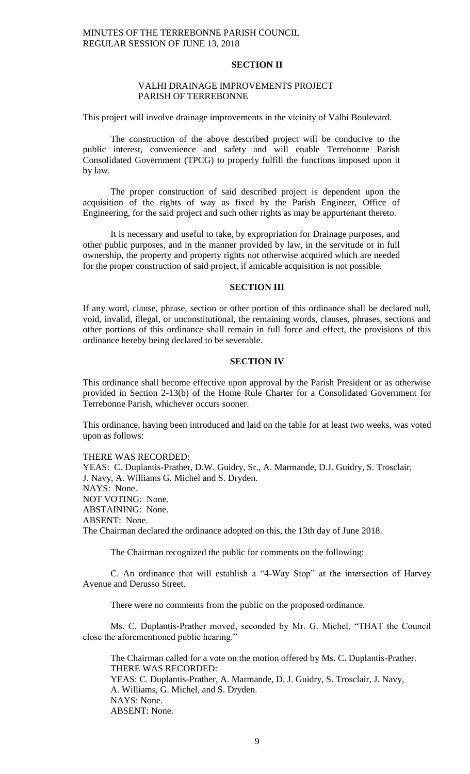## **SECTION II**

## VALHI DRAINAGE IMPROVEMENTS PROJECT PARISH OF TERREBONNE

This project will involve drainage improvements in the vicinity of Valhi Boulevard.

The construction of the above described project will be conducive to the public interest, convenience and safety and will enable Terrebonne Parish Consolidated Government (TPCG) to properly fulfill the functions imposed upon it by law.

The proper construction of said described project is dependent upon the acquisition of the rights of way as fixed by the Parish Engineer, Office of Engineering, for the said project and such other rights as may be appurtenant thereto.

It is necessary and useful to take, by expropriation for Drainage purposes, and other public purposes, and in the manner provided by law, in the servitude or in full ownership, the property and property rights not otherwise acquired which are needed for the proper construction of said project, if amicable acquisition is not possible.

## **SECTION III**

If any word, clause, phrase, section or other portion of this ordinance shall be declared null, void, invalid, illegal, or unconstitutional, the remaining words, clauses, phrases, sections and other portions of this ordinance shall remain in full force and effect, the provisions of this ordinance hereby being declared to be severable.

### **SECTION IV**

This ordinance shall become effective upon approval by the Parish President or as otherwise provided in Section 2-13(b) of the Home Rule Charter for a Consolidated Government for Terrebonne Parish, whichever occurs sooner.

This ordinance, having been introduced and laid on the table for at least two weeks, was voted upon as follows:

#### THERE WAS RECORDED:

YEAS: C. Duplantis-Prather, D.W. Guidry, Sr., A. Marmande, D.J. Guidry, S. Trosclair, J. Navy, A. Williams G. Michel and S. Dryden. NAYS: None. NOT VOTING: None. ABSTAINING: None. ABSENT: None. The Chairman declared the ordinance adopted on this, the 13th day of June 2018.

The Chairman recognized the public for comments on the following:

C. An ordinance that will establish a "4-Way Stop" at the intersection of Harvey Avenue and Derusso Street.

There were no comments from the public on the proposed ordinance.

Ms. C. Duplantis-Prather moved, seconded by Mr. G. Michel, "THAT the Council close the aforementioned public hearing."

The Chairman called for a vote on the motion offered by Ms. C. Duplantis-Prather. THERE WAS RECORDED: YEAS: C. Duplantis-Prather, A. Marmande, D. J. Guidry, S. Trosclair, J. Navy, A. Williams, G. Michel, and S. Dryden. NAYS: None. ABSENT: None.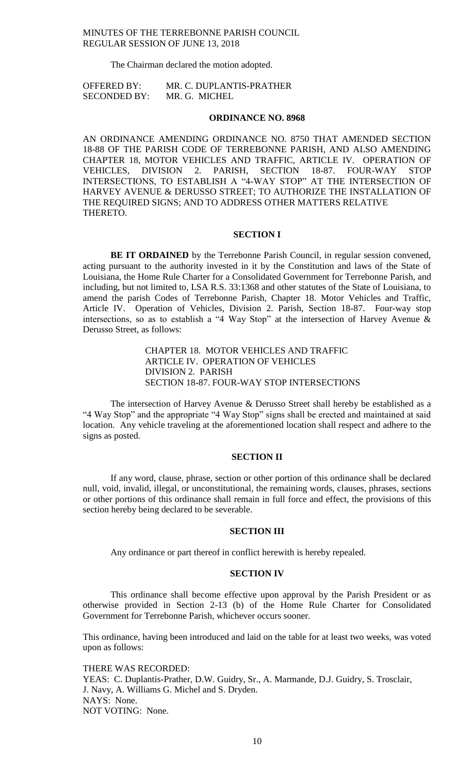The Chairman declared the motion adopted.

OFFERED BY: MR. C. DUPLANTIS-PRATHER SECONDED BY: MR. G. MICHEL

### **ORDINANCE NO. 8968**

AN ORDINANCE AMENDING ORDINANCE NO. 8750 THAT AMENDED SECTION 18-88 OF THE PARISH CODE OF TERREBONNE PARISH, AND ALSO AMENDING CHAPTER 18, MOTOR VEHICLES AND TRAFFIC, ARTICLE IV. OPERATION OF VEHICLES, DIVISION 2. PARISH, SECTION 18-87. FOUR-WAY STOP VEHICLES, DIVISION 2. PARISH, SECTION 18-87. FOUR-WAY STOP INTERSECTIONS, TO ESTABLISH A "4-WAY STOP" AT THE INTERSECTION OF HARVEY AVENUE & DERUSSO STREET; TO AUTHORIZE THE INSTALLATION OF THE REQUIRED SIGNS; AND TO ADDRESS OTHER MATTERS RELATIVE THERETO.

### **SECTION I**

**BE IT ORDAINED** by the Terrebonne Parish Council, in regular session convened, acting pursuant to the authority invested in it by the Constitution and laws of the State of Louisiana, the Home Rule Charter for a Consolidated Government for Terrebonne Parish, and including, but not limited to, LSA R.S. 33:1368 and other statutes of the State of Louisiana, to amend the parish Codes of Terrebonne Parish, Chapter 18. Motor Vehicles and Traffic, Article IV. Operation of Vehicles, Division 2. Parish, Section 18-87. Four-way stop intersections, so as to establish a "4 Way Stop" at the intersection of Harvey Avenue & Derusso Street, as follows:

> CHAPTER 18. MOTOR VEHICLES AND TRAFFIC ARTICLE IV. OPERATION OF VEHICLES DIVISION 2. PARISH SECTION 18-87. FOUR-WAY STOP INTERSECTIONS

The intersection of Harvey Avenue & Derusso Street shall hereby be established as a "4 Way Stop" and the appropriate "4 Way Stop" signs shall be erected and maintained at said location. Any vehicle traveling at the aforementioned location shall respect and adhere to the signs as posted.

## **SECTION II**

If any word, clause, phrase, section or other portion of this ordinance shall be declared null, void, invalid, illegal, or unconstitutional, the remaining words, clauses, phrases, sections or other portions of this ordinance shall remain in full force and effect, the provisions of this section hereby being declared to be severable.

#### **SECTION III**

Any ordinance or part thereof in conflict herewith is hereby repealed.

### **SECTION IV**

This ordinance shall become effective upon approval by the Parish President or as otherwise provided in Section 2-13 (b) of the Home Rule Charter for Consolidated Government for Terrebonne Parish, whichever occurs sooner.

This ordinance, having been introduced and laid on the table for at least two weeks, was voted upon as follows:

THERE WAS RECORDED: YEAS: C. Duplantis-Prather, D.W. Guidry, Sr., A. Marmande, D.J. Guidry, S. Trosclair, J. Navy, A. Williams G. Michel and S. Dryden. NAYS: None. NOT VOTING: None.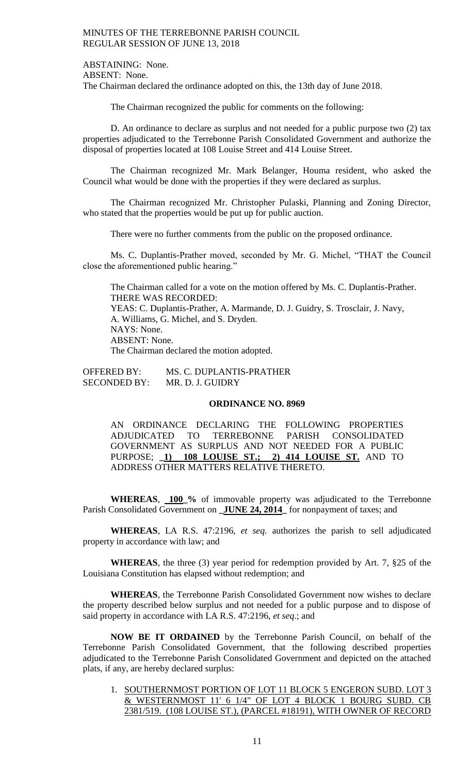ABSTAINING: None. ABSENT: None. The Chairman declared the ordinance adopted on this, the 13th day of June 2018.

The Chairman recognized the public for comments on the following:

D. An ordinance to declare as surplus and not needed for a public purpose two (2) tax properties adjudicated to the Terrebonne Parish Consolidated Government and authorize the disposal of properties located at 108 Louise Street and 414 Louise Street.

The Chairman recognized Mr. Mark Belanger, Houma resident, who asked the Council what would be done with the properties if they were declared as surplus.

The Chairman recognized Mr. Christopher Pulaski, Planning and Zoning Director, who stated that the properties would be put up for public auction.

There were no further comments from the public on the proposed ordinance.

Ms. C. Duplantis-Prather moved, seconded by Mr. G. Michel, "THAT the Council close the aforementioned public hearing."

The Chairman called for a vote on the motion offered by Ms. C. Duplantis-Prather. THERE WAS RECORDED: YEAS: C. Duplantis-Prather, A. Marmande, D. J. Guidry, S. Trosclair, J. Navy, A. Williams, G. Michel, and S. Dryden. NAYS: None. ABSENT: None. The Chairman declared the motion adopted.

OFFERED BY: MS. C. DUPLANTIS-PRATHER SECONDED BY: MR. D. J. GUIDRY

### **ORDINANCE NO. 8969**

AN ORDINANCE DECLARING THE FOLLOWING PROPERTIES ADJUDICATED TO TERREBONNE PARISH CONSOLIDATED GOVERNMENT AS SURPLUS AND NOT NEEDED FOR A PUBLIC PURPOSE; **\_1) 108 LOUISE ST.; 2) 414 LOUISE ST.** AND TO ADDRESS OTHER MATTERS RELATIVE THERETO.

**WHEREAS**, **100\_%** of immovable property was adjudicated to the Terrebonne Parish Consolidated Government on **\_JUNE 24, 2014\_** for nonpayment of taxes; and

**WHEREAS**, LA R.S. 47:2196, *et seq.* authorizes the parish to sell adjudicated property in accordance with law; and

**WHEREAS**, the three (3) year period for redemption provided by Art. 7, §25 of the Louisiana Constitution has elapsed without redemption; and

**WHEREAS**, the Terrebonne Parish Consolidated Government now wishes to declare the property described below surplus and not needed for a public purpose and to dispose of said property in accordance with LA R.S. 47:2196, *et seq*.; and

**NOW BE IT ORDAINED** by the Terrebonne Parish Council, on behalf of the Terrebonne Parish Consolidated Government, that the following described properties adjudicated to the Terrebonne Parish Consolidated Government and depicted on the attached plats, if any, are hereby declared surplus:

1. SOUTHERNMOST PORTION OF LOT 11 BLOCK 5 ENGERON SUBD. LOT 3 & WESTERNMOST 11' 6 1/4" OF LOT 4 BLOCK 1 BOURG SUBD. CB 2381/519. (108 LOUISE ST.), (PARCEL #18191), WITH OWNER OF RECORD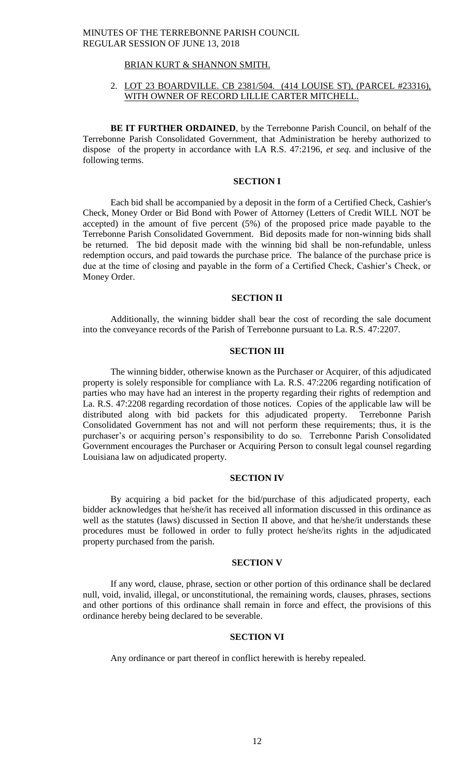## BRIAN KURT & SHANNON SMITH.

## 2. LOT 23 BOARDVILLE. CB 2381/504. (414 LOUISE ST), (PARCEL #23316), WITH OWNER OF RECORD LILLIE CARTER MITCHELL.

**BE IT FURTHER ORDAINED**, by the Terrebonne Parish Council, on behalf of the Terrebonne Parish Consolidated Government, that Administration be hereby authorized to dispose of the property in accordance with LA R.S. 47:2196, *et seq*. and inclusive of the following terms.

### **SECTION I**

Each bid shall be accompanied by a deposit in the form of a Certified Check, Cashier's Check, Money Order or Bid Bond with Power of Attorney (Letters of Credit WILL NOT be accepted) in the amount of five percent (5%) of the proposed price made payable to the Terrebonne Parish Consolidated Government. Bid deposits made for non-winning bids shall be returned. The bid deposit made with the winning bid shall be non-refundable, unless redemption occurs, and paid towards the purchase price. The balance of the purchase price is due at the time of closing and payable in the form of a Certified Check, Cashier's Check, or Money Order.

## **SECTION II**

Additionally, the winning bidder shall bear the cost of recording the sale document into the conveyance records of the Parish of Terrebonne pursuant to La. R.S. 47:2207.

## **SECTION III**

The winning bidder, otherwise known as the Purchaser or Acquirer, of this adjudicated property is solely responsible for compliance with La. R.S. 47:2206 regarding notification of parties who may have had an interest in the property regarding their rights of redemption and La. R.S. 47:2208 regarding recordation of those notices. Copies of the applicable law will be distributed along with bid packets for this adjudicated property. Terrebonne Parish Consolidated Government has not and will not perform these requirements; thus, it is the purchaser's or acquiring person's responsibility to do so. Terrebonne Parish Consolidated Government encourages the Purchaser or Acquiring Person to consult legal counsel regarding Louisiana law on adjudicated property.

### **SECTION IV**

By acquiring a bid packet for the bid/purchase of this adjudicated property, each bidder acknowledges that he/she/it has received all information discussed in this ordinance as well as the statutes (laws) discussed in Section II above, and that he/she/it understands these procedures must be followed in order to fully protect he/she/its rights in the adjudicated property purchased from the parish.

#### **SECTION V**

If any word, clause, phrase, section or other portion of this ordinance shall be declared null, void, invalid, illegal, or unconstitutional, the remaining words, clauses, phrases, sections and other portions of this ordinance shall remain in force and effect, the provisions of this ordinance hereby being declared to be severable.

### **SECTION VI**

Any ordinance or part thereof in conflict herewith is hereby repealed.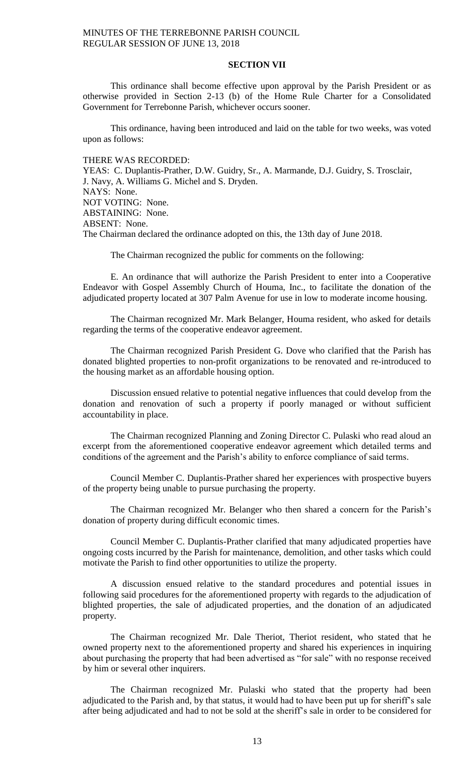### **SECTION VII**

This ordinance shall become effective upon approval by the Parish President or as otherwise provided in Section 2-13 (b) of the Home Rule Charter for a Consolidated Government for Terrebonne Parish, whichever occurs sooner.

This ordinance, having been introduced and laid on the table for two weeks, was voted upon as follows:

#### THERE WAS RECORDED:

YEAS: C. Duplantis-Prather, D.W. Guidry, Sr., A. Marmande, D.J. Guidry, S. Trosclair, J. Navy, A. Williams G. Michel and S. Dryden. NAYS: None. NOT VOTING: None. ABSTAINING: None. ABSENT: None. The Chairman declared the ordinance adopted on this, the 13th day of June 2018.

The Chairman recognized the public for comments on the following:

E. An ordinance that will authorize the Parish President to enter into a Cooperative Endeavor with Gospel Assembly Church of Houma, Inc., to facilitate the donation of the adjudicated property located at 307 Palm Avenue for use in low to moderate income housing.

The Chairman recognized Mr. Mark Belanger, Houma resident, who asked for details regarding the terms of the cooperative endeavor agreement.

The Chairman recognized Parish President G. Dove who clarified that the Parish has donated blighted properties to non-profit organizations to be renovated and re-introduced to the housing market as an affordable housing option.

Discussion ensued relative to potential negative influences that could develop from the donation and renovation of such a property if poorly managed or without sufficient accountability in place.

The Chairman recognized Planning and Zoning Director C. Pulaski who read aloud an excerpt from the aforementioned cooperative endeavor agreement which detailed terms and conditions of the agreement and the Parish's ability to enforce compliance of said terms.

Council Member C. Duplantis-Prather shared her experiences with prospective buyers of the property being unable to pursue purchasing the property.

The Chairman recognized Mr. Belanger who then shared a concern for the Parish's donation of property during difficult economic times.

Council Member C. Duplantis-Prather clarified that many adjudicated properties have ongoing costs incurred by the Parish for maintenance, demolition, and other tasks which could motivate the Parish to find other opportunities to utilize the property.

A discussion ensued relative to the standard procedures and potential issues in following said procedures for the aforementioned property with regards to the adjudication of blighted properties, the sale of adjudicated properties, and the donation of an adjudicated property.

The Chairman recognized Mr. Dale Theriot, Theriot resident, who stated that he owned property next to the aforementioned property and shared his experiences in inquiring about purchasing the property that had been advertised as "for sale" with no response received by him or several other inquirers.

The Chairman recognized Mr. Pulaski who stated that the property had been adjudicated to the Parish and, by that status, it would had to have been put up for sheriff's sale after being adjudicated and had to not be sold at the sheriff's sale in order to be considered for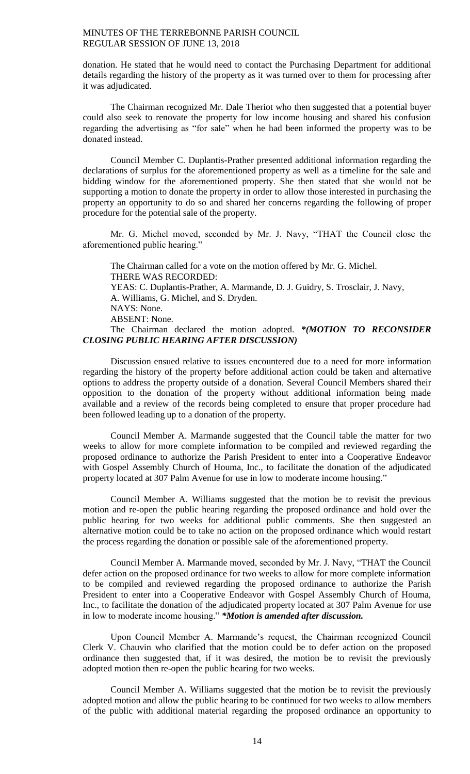donation. He stated that he would need to contact the Purchasing Department for additional details regarding the history of the property as it was turned over to them for processing after it was adjudicated.

The Chairman recognized Mr. Dale Theriot who then suggested that a potential buyer could also seek to renovate the property for low income housing and shared his confusion regarding the advertising as "for sale" when he had been informed the property was to be donated instead.

Council Member C. Duplantis-Prather presented additional information regarding the declarations of surplus for the aforementioned property as well as a timeline for the sale and bidding window for the aforementioned property. She then stated that she would not be supporting a motion to donate the property in order to allow those interested in purchasing the property an opportunity to do so and shared her concerns regarding the following of proper procedure for the potential sale of the property.

Mr. G. Michel moved, seconded by Mr. J. Navy, "THAT the Council close the aforementioned public hearing."

The Chairman called for a vote on the motion offered by Mr. G. Michel. THERE WAS RECORDED: YEAS: C. Duplantis-Prather, A. Marmande, D. J. Guidry, S. Trosclair, J. Navy, A. Williams, G. Michel, and S. Dryden. NAYS: None. ABSENT: None. The Chairman declared the motion adopted. *\*(MOTION TO RECONSIDER* 

*CLOSING PUBLIC HEARING AFTER DISCUSSION)*

Discussion ensued relative to issues encountered due to a need for more information regarding the history of the property before additional action could be taken and alternative options to address the property outside of a donation. Several Council Members shared their opposition to the donation of the property without additional information being made available and a review of the records being completed to ensure that proper procedure had been followed leading up to a donation of the property.

Council Member A. Marmande suggested that the Council table the matter for two weeks to allow for more complete information to be compiled and reviewed regarding the proposed ordinance to authorize the Parish President to enter into a Cooperative Endeavor with Gospel Assembly Church of Houma, Inc., to facilitate the donation of the adjudicated property located at 307 Palm Avenue for use in low to moderate income housing."

Council Member A. Williams suggested that the motion be to revisit the previous motion and re-open the public hearing regarding the proposed ordinance and hold over the public hearing for two weeks for additional public comments. She then suggested an alternative motion could be to take no action on the proposed ordinance which would restart the process regarding the donation or possible sale of the aforementioned property.

Council Member A. Marmande moved, seconded by Mr. J. Navy, "THAT the Council defer action on the proposed ordinance for two weeks to allow for more complete information to be compiled and reviewed regarding the proposed ordinance to authorize the Parish President to enter into a Cooperative Endeavor with Gospel Assembly Church of Houma, Inc., to facilitate the donation of the adjudicated property located at 307 Palm Avenue for use in low to moderate income housing." *\*Motion is amended after discussion.*

Upon Council Member A. Marmande's request, the Chairman recognized Council Clerk V. Chauvin who clarified that the motion could be to defer action on the proposed ordinance then suggested that, if it was desired, the motion be to revisit the previously adopted motion then re-open the public hearing for two weeks.

Council Member A. Williams suggested that the motion be to revisit the previously adopted motion and allow the public hearing to be continued for two weeks to allow members of the public with additional material regarding the proposed ordinance an opportunity to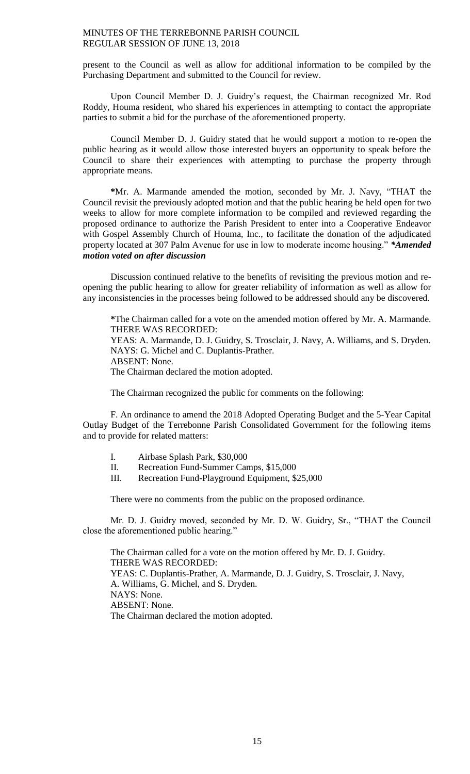present to the Council as well as allow for additional information to be compiled by the Purchasing Department and submitted to the Council for review.

Upon Council Member D. J. Guidry's request, the Chairman recognized Mr. Rod Roddy, Houma resident, who shared his experiences in attempting to contact the appropriate parties to submit a bid for the purchase of the aforementioned property.

Council Member D. J. Guidry stated that he would support a motion to re-open the public hearing as it would allow those interested buyers an opportunity to speak before the Council to share their experiences with attempting to purchase the property through appropriate means.

**\***Mr. A. Marmande amended the motion, seconded by Mr. J. Navy, "THAT the Council revisit the previously adopted motion and that the public hearing be held open for two weeks to allow for more complete information to be compiled and reviewed regarding the proposed ordinance to authorize the Parish President to enter into a Cooperative Endeavor with Gospel Assembly Church of Houma, Inc., to facilitate the donation of the adjudicated property located at 307 Palm Avenue for use in low to moderate income housing." *\*Amended motion voted on after discussion*

Discussion continued relative to the benefits of revisiting the previous motion and reopening the public hearing to allow for greater reliability of information as well as allow for any inconsistencies in the processes being followed to be addressed should any be discovered.

**\***The Chairman called for a vote on the amended motion offered by Mr. A. Marmande. THERE WAS RECORDED: YEAS: A. Marmande, D. J. Guidry, S. Trosclair, J. Navy, A. Williams, and S. Dryden. NAYS: G. Michel and C. Duplantis-Prather. ABSENT: None. The Chairman declared the motion adopted.

The Chairman recognized the public for comments on the following:

F. An ordinance to amend the 2018 Adopted Operating Budget and the 5-Year Capital Outlay Budget of the Terrebonne Parish Consolidated Government for the following items and to provide for related matters:

- I. Airbase Splash Park, \$30,000
- II. Recreation Fund-Summer Camps, \$15,000
- III. Recreation Fund-Playground Equipment, \$25,000

There were no comments from the public on the proposed ordinance.

Mr. D. J. Guidry moved, seconded by Mr. D. W. Guidry, Sr., "THAT the Council close the aforementioned public hearing."

The Chairman called for a vote on the motion offered by Mr. D. J. Guidry. THERE WAS RECORDED: YEAS: C. Duplantis-Prather, A. Marmande, D. J. Guidry, S. Trosclair, J. Navy, A. Williams, G. Michel, and S. Dryden. NAYS: None. ABSENT: None. The Chairman declared the motion adopted.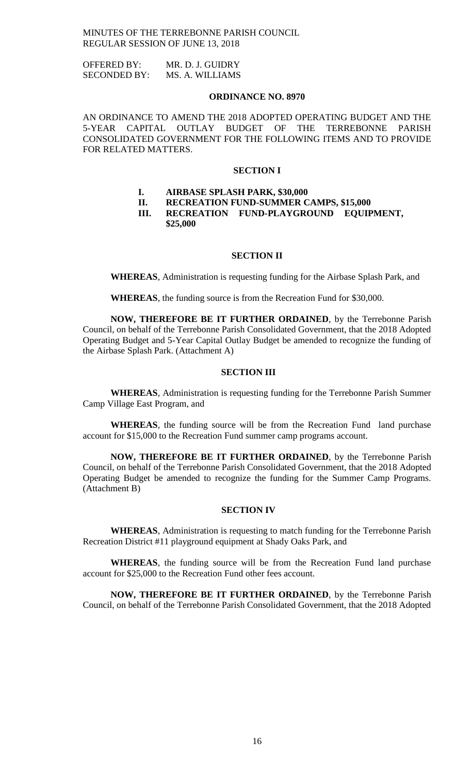| <b>OFFERED BY:</b>  | MR. D. J. GUIDRY |
|---------------------|------------------|
| <b>SECONDED BY:</b> | MS. A. WILLIAMS  |

### **ORDINANCE NO. 8970**

AN ORDINANCE TO AMEND THE 2018 ADOPTED OPERATING BUDGET AND THE 5-YEAR CAPITAL OUTLAY BUDGET OF THE TERREBONNE PARISH CONSOLIDATED GOVERNMENT FOR THE FOLLOWING ITEMS AND TO PROVIDE FOR RELATED MATTERS.

## **SECTION I**

- **I. AIRBASE SPLASH PARK, \$30,000**
- **II. RECREATION FUND-SUMMER CAMPS, \$15,000**

**III. RECREATION FUND-PLAYGROUND EQUIPMENT, \$25,000**

## **SECTION II**

**WHEREAS**, Administration is requesting funding for the Airbase Splash Park, and

**WHEREAS**, the funding source is from the Recreation Fund for \$30,000.

**NOW, THEREFORE BE IT FURTHER ORDAINED**, by the Terrebonne Parish Council, on behalf of the Terrebonne Parish Consolidated Government, that the 2018 Adopted Operating Budget and 5-Year Capital Outlay Budget be amended to recognize the funding of the Airbase Splash Park. (Attachment A)

## **SECTION III**

**WHEREAS**, Administration is requesting funding for the Terrebonne Parish Summer Camp Village East Program, and

**WHEREAS**, the funding source will be from the Recreation Fund land purchase account for \$15,000 to the Recreation Fund summer camp programs account.

**NOW, THEREFORE BE IT FURTHER ORDAINED**, by the Terrebonne Parish Council, on behalf of the Terrebonne Parish Consolidated Government, that the 2018 Adopted Operating Budget be amended to recognize the funding for the Summer Camp Programs. (Attachment B)

#### **SECTION IV**

**WHEREAS**, Administration is requesting to match funding for the Terrebonne Parish Recreation District #11 playground equipment at Shady Oaks Park, and

**WHEREAS**, the funding source will be from the Recreation Fund land purchase account for \$25,000 to the Recreation Fund other fees account.

**NOW, THEREFORE BE IT FURTHER ORDAINED**, by the Terrebonne Parish Council, on behalf of the Terrebonne Parish Consolidated Government, that the 2018 Adopted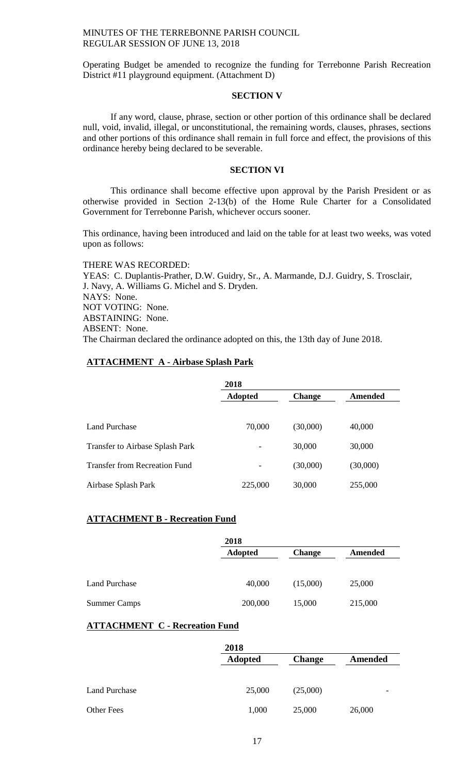Operating Budget be amended to recognize the funding for Terrebonne Parish Recreation District #11 playground equipment. (Attachment D)

### **SECTION V**

If any word, clause, phrase, section or other portion of this ordinance shall be declared null, void, invalid, illegal, or unconstitutional, the remaining words, clauses, phrases, sections and other portions of this ordinance shall remain in full force and effect, the provisions of this ordinance hereby being declared to be severable.

### **SECTION VI**

This ordinance shall become effective upon approval by the Parish President or as otherwise provided in Section 2-13(b) of the Home Rule Charter for a Consolidated Government for Terrebonne Parish, whichever occurs sooner.

This ordinance, having been introduced and laid on the table for at least two weeks, was voted upon as follows:

THERE WAS RECORDED: YEAS: C. Duplantis-Prather, D.W. Guidry, Sr., A. Marmande, D.J. Guidry, S. Trosclair, J. Navy, A. Williams G. Michel and S. Dryden. NAYS: None. NOT VOTING: None. ABSTAINING: None. ABSENT: None. The Chairman declared the ordinance adopted on this, the 13th day of June 2018.

# **ATTACHMENT A - Airbase Splash Park**

|                                      | 2018           |               |          |
|--------------------------------------|----------------|---------------|----------|
|                                      | <b>Adopted</b> | <b>Change</b> | Amended  |
|                                      |                |               |          |
| <b>Land Purchase</b>                 | 70,000         | (30,000)      | 40,000   |
| Transfer to Airbase Splash Park      |                | 30,000        | 30,000   |
| <b>Transfer from Recreation Fund</b> |                | (30,000)      | (30,000) |
| Airbase Splash Park                  | 225,000        | 30,000        | 255,000  |

## **ATTACHMENT B - Recreation Fund**

|                      | 2018           |               |         |
|----------------------|----------------|---------------|---------|
|                      | <b>Adopted</b> | <b>Change</b> | Amended |
|                      |                |               |         |
| <b>Land Purchase</b> | 40,000         | (15,000)      | 25,000  |
| <b>Summer Camps</b>  | 200,000        | 15,000        | 215,000 |

## **ATTACHMENT C - Recreation Fund**

|                      | 2018           |               |         |  |
|----------------------|----------------|---------------|---------|--|
|                      | <b>Adopted</b> | <b>Change</b> | Amended |  |
|                      |                |               |         |  |
| <b>Land Purchase</b> | 25,000         | (25,000)      |         |  |
| <b>Other Fees</b>    | 1,000          | 25,000        | 26,000  |  |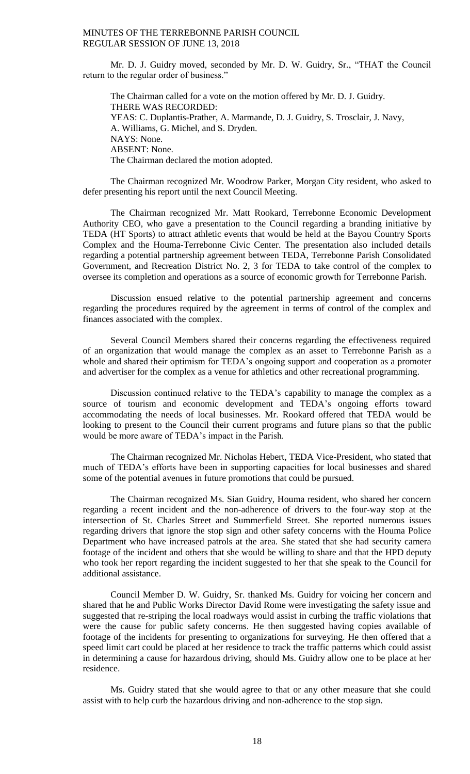Mr. D. J. Guidry moved, seconded by Mr. D. W. Guidry, Sr., "THAT the Council return to the regular order of business."

The Chairman called for a vote on the motion offered by Mr. D. J. Guidry. THERE WAS RECORDED: YEAS: C. Duplantis-Prather, A. Marmande, D. J. Guidry, S. Trosclair, J. Navy, A. Williams, G. Michel, and S. Dryden. NAYS: None. ABSENT: None. The Chairman declared the motion adopted.

The Chairman recognized Mr. Woodrow Parker, Morgan City resident, who asked to defer presenting his report until the next Council Meeting.

The Chairman recognized Mr. Matt Rookard, Terrebonne Economic Development Authority CEO, who gave a presentation to the Council regarding a branding initiative by TEDA (HT Sports) to attract athletic events that would be held at the Bayou Country Sports Complex and the Houma-Terrebonne Civic Center. The presentation also included details regarding a potential partnership agreement between TEDA, Terrebonne Parish Consolidated Government, and Recreation District No. 2, 3 for TEDA to take control of the complex to oversee its completion and operations as a source of economic growth for Terrebonne Parish.

Discussion ensued relative to the potential partnership agreement and concerns regarding the procedures required by the agreement in terms of control of the complex and finances associated with the complex.

Several Council Members shared their concerns regarding the effectiveness required of an organization that would manage the complex as an asset to Terrebonne Parish as a whole and shared their optimism for TEDA's ongoing support and cooperation as a promoter and advertiser for the complex as a venue for athletics and other recreational programming.

Discussion continued relative to the TEDA's capability to manage the complex as a source of tourism and economic development and TEDA's ongoing efforts toward accommodating the needs of local businesses. Mr. Rookard offered that TEDA would be looking to present to the Council their current programs and future plans so that the public would be more aware of TEDA's impact in the Parish.

The Chairman recognized Mr. Nicholas Hebert, TEDA Vice-President, who stated that much of TEDA's efforts have been in supporting capacities for local businesses and shared some of the potential avenues in future promotions that could be pursued.

The Chairman recognized Ms. Sian Guidry, Houma resident, who shared her concern regarding a recent incident and the non-adherence of drivers to the four-way stop at the intersection of St. Charles Street and Summerfield Street. She reported numerous issues regarding drivers that ignore the stop sign and other safety concerns with the Houma Police Department who have increased patrols at the area. She stated that she had security camera footage of the incident and others that she would be willing to share and that the HPD deputy who took her report regarding the incident suggested to her that she speak to the Council for additional assistance.

Council Member D. W. Guidry, Sr. thanked Ms. Guidry for voicing her concern and shared that he and Public Works Director David Rome were investigating the safety issue and suggested that re-striping the local roadways would assist in curbing the traffic violations that were the cause for public safety concerns. He then suggested having copies available of footage of the incidents for presenting to organizations for surveying. He then offered that a speed limit cart could be placed at her residence to track the traffic patterns which could assist in determining a cause for hazardous driving, should Ms. Guidry allow one to be place at her residence.

Ms. Guidry stated that she would agree to that or any other measure that she could assist with to help curb the hazardous driving and non-adherence to the stop sign.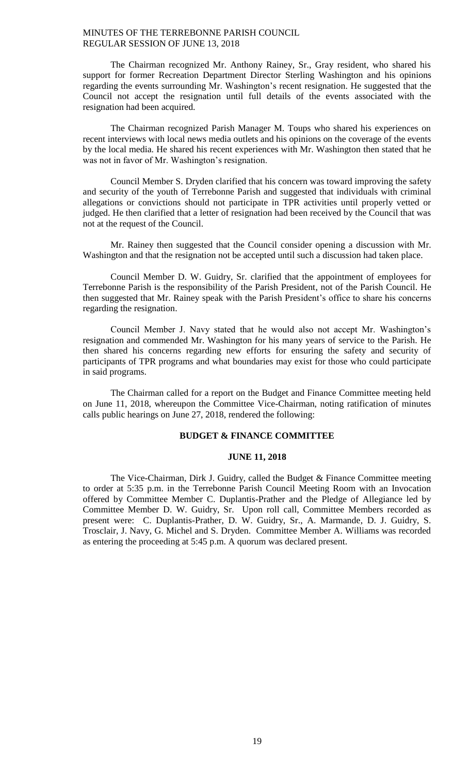The Chairman recognized Mr. Anthony Rainey, Sr., Gray resident, who shared his support for former Recreation Department Director Sterling Washington and his opinions regarding the events surrounding Mr. Washington's recent resignation. He suggested that the Council not accept the resignation until full details of the events associated with the resignation had been acquired.

The Chairman recognized Parish Manager M. Toups who shared his experiences on recent interviews with local news media outlets and his opinions on the coverage of the events by the local media. He shared his recent experiences with Mr. Washington then stated that he was not in favor of Mr. Washington's resignation.

Council Member S. Dryden clarified that his concern was toward improving the safety and security of the youth of Terrebonne Parish and suggested that individuals with criminal allegations or convictions should not participate in TPR activities until properly vetted or judged. He then clarified that a letter of resignation had been received by the Council that was not at the request of the Council.

Mr. Rainey then suggested that the Council consider opening a discussion with Mr. Washington and that the resignation not be accepted until such a discussion had taken place.

Council Member D. W. Guidry, Sr. clarified that the appointment of employees for Terrebonne Parish is the responsibility of the Parish President, not of the Parish Council. He then suggested that Mr. Rainey speak with the Parish President's office to share his concerns regarding the resignation.

Council Member J. Navy stated that he would also not accept Mr. Washington's resignation and commended Mr. Washington for his many years of service to the Parish. He then shared his concerns regarding new efforts for ensuring the safety and security of participants of TPR programs and what boundaries may exist for those who could participate in said programs.

The Chairman called for a report on the Budget and Finance Committee meeting held on June 11, 2018, whereupon the Committee Vice-Chairman, noting ratification of minutes calls public hearings on June 27, 2018, rendered the following:

# **BUDGET & FINANCE COMMITTEE**

### **JUNE 11, 2018**

The Vice-Chairman, Dirk J. Guidry, called the Budget & Finance Committee meeting to order at 5:35 p.m. in the Terrebonne Parish Council Meeting Room with an Invocation offered by Committee Member C. Duplantis-Prather and the Pledge of Allegiance led by Committee Member D. W. Guidry, Sr. Upon roll call, Committee Members recorded as present were: C. Duplantis-Prather, D. W. Guidry, Sr., A. Marmande, D. J. Guidry, S. Trosclair, J. Navy, G. Michel and S. Dryden. Committee Member A. Williams was recorded as entering the proceeding at 5:45 p.m. A quorum was declared present.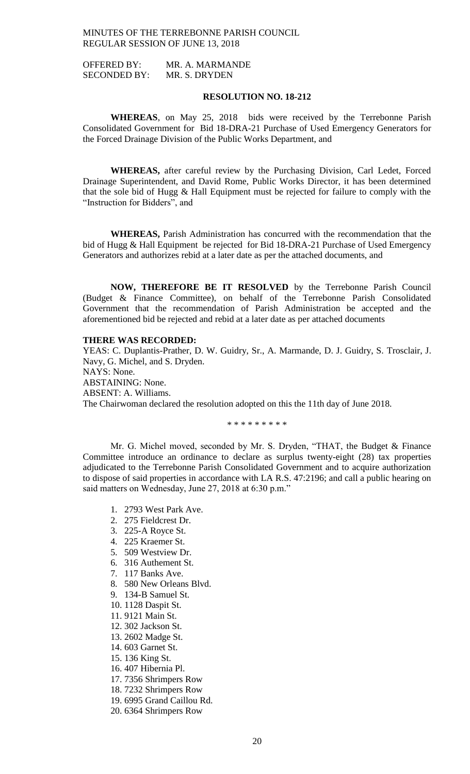OFFERED BY: MR. A. MARMANDE SECONDED BY: MR. S. DRYDEN

## **RESOLUTION NO. 18-212**

**WHEREAS**, on May 25, 2018 bids were received by the Terrebonne Parish Consolidated Government for Bid 18-DRA-21 Purchase of Used Emergency Generators for the Forced Drainage Division of the Public Works Department, and

**WHEREAS,** after careful review by the Purchasing Division, Carl Ledet, Forced Drainage Superintendent, and David Rome, Public Works Director, it has been determined that the sole bid of Hugg & Hall Equipment must be rejected for failure to comply with the "Instruction for Bidders", and

**WHEREAS,** Parish Administration has concurred with the recommendation that the bid of Hugg & Hall Equipment be rejected for Bid 18-DRA-21 Purchase of Used Emergency Generators and authorizes rebid at a later date as per the attached documents, and

**NOW, THEREFORE BE IT RESOLVED** by the Terrebonne Parish Council (Budget & Finance Committee), on behalf of the Terrebonne Parish Consolidated Government that the recommendation of Parish Administration be accepted and the aforementioned bid be rejected and rebid at a later date as per attached documents

## **THERE WAS RECORDED:**

YEAS: C. Duplantis-Prather, D. W. Guidry, Sr., A. Marmande, D. J. Guidry, S. Trosclair, J. Navy, G. Michel, and S. Dryden. NAYS: None. ABSTAINING: None. ABSENT: A. Williams. The Chairwoman declared the resolution adopted on this the 11th day of June 2018.

\* \* \* \* \* \* \* \* \*

Mr. G. Michel moved, seconded by Mr. S. Dryden, "THAT, the Budget & Finance Committee introduce an ordinance to declare as surplus twenty-eight (28) tax properties adjudicated to the Terrebonne Parish Consolidated Government and to acquire authorization to dispose of said properties in accordance with LA R.S. 47:2196; and call a public hearing on said matters on Wednesday, June 27, 2018 at 6:30 p.m."

- 1. 2793 West Park Ave.
- 2. 275 Fieldcrest Dr.
- 3. 225-A Royce St.
- 4. 225 Kraemer St.
- 5. 509 Westview Dr.
- 6. 316 Authement St.
- 7. 117 Banks Ave.
- 8. 580 New Orleans Blvd.
- 9. 134-B Samuel St.
- 10. 1128 Daspit St.
- 11. 9121 Main St.
- 12. 302 Jackson St.
- 13. 2602 Madge St.
- 14. 603 Garnet St.
- 15. 136 King St.
- 16. 407 Hibernia Pl.
- 17. 7356 Shrimpers Row
- 18. 7232 Shrimpers Row
- 19. 6995 Grand Caillou Rd.
- 20. 6364 Shrimpers Row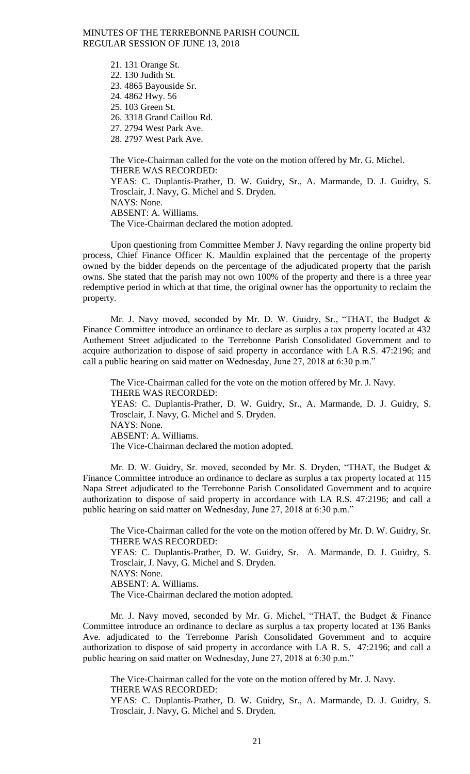> 21. 131 Orange St. 22. 130 Judith St. 23. 4865 Bayouside Sr. 24. 4862 Hwy. 56 25. 103 Green St. 26. 3318 Grand Caillou Rd. 27. 2794 West Park Ave. 28. 2797 West Park Ave.

The Vice-Chairman called for the vote on the motion offered by Mr. G. Michel. THERE WAS RECORDED: YEAS: C. Duplantis-Prather, D. W. Guidry, Sr., A. Marmande, D. J. Guidry, S. Trosclair, J. Navy, G. Michel and S. Dryden. NAYS: None. ABSENT: A. Williams. The Vice-Chairman declared the motion adopted.

Upon questioning from Committee Member J. Navy regarding the online property bid process, Chief Finance Officer K. Mauldin explained that the percentage of the property owned by the bidder depends on the percentage of the adjudicated property that the parish owns. She stated that the parish may not own 100% of the property and there is a three year redemptive period in which at that time, the original owner has the opportunity to reclaim the property.

Mr. J. Navy moved, seconded by Mr. D. W. Guidry, Sr., "THAT, the Budget & Finance Committee introduce an ordinance to declare as surplus a tax property located at 432 Authement Street adjudicated to the Terrebonne Parish Consolidated Government and to acquire authorization to dispose of said property in accordance with LA R.S. 47:2196; and call a public hearing on said matter on Wednesday, June 27, 2018 at 6:30 p.m."

The Vice-Chairman called for the vote on the motion offered by Mr. J. Navy. THERE WAS RECORDED: YEAS: C. Duplantis-Prather, D. W. Guidry, Sr., A. Marmande, D. J. Guidry, S. Trosclair, J. Navy, G. Michel and S. Dryden. NAYS: None. ABSENT: A. Williams. The Vice-Chairman declared the motion adopted.

Mr. D. W. Guidry, Sr. moved, seconded by Mr. S. Dryden, "THAT, the Budget & Finance Committee introduce an ordinance to declare as surplus a tax property located at 115 Napa Street adjudicated to the Terrebonne Parish Consolidated Government and to acquire authorization to dispose of said property in accordance with LA R.S. 47:2196; and call a public hearing on said matter on Wednesday, June 27, 2018 at 6:30 p.m."

The Vice-Chairman called for the vote on the motion offered by Mr. D. W. Guidry, Sr. THERE WAS RECORDED:

YEAS: C. Duplantis-Prather, D. W. Guidry, Sr. A. Marmande, D. J. Guidry, S. Trosclair, J. Navy, G. Michel and S. Dryden. NAYS: None. ABSENT: A. Williams.

The Vice-Chairman declared the motion adopted.

Mr. J. Navy moved, seconded by Mr. G. Michel, "THAT, the Budget & Finance Committee introduce an ordinance to declare as surplus a tax property located at 136 Banks Ave. adjudicated to the Terrebonne Parish Consolidated Government and to acquire authorization to dispose of said property in accordance with LA R. S. 47:2196; and call a public hearing on said matter on Wednesday, June 27, 2018 at 6:30 p.m."

The Vice-Chairman called for the vote on the motion offered by Mr. J. Navy. THERE WAS RECORDED:

YEAS: C. Duplantis-Prather, D. W. Guidry, Sr., A. Marmande, D. J. Guidry, S. Trosclair, J. Navy, G. Michel and S. Dryden.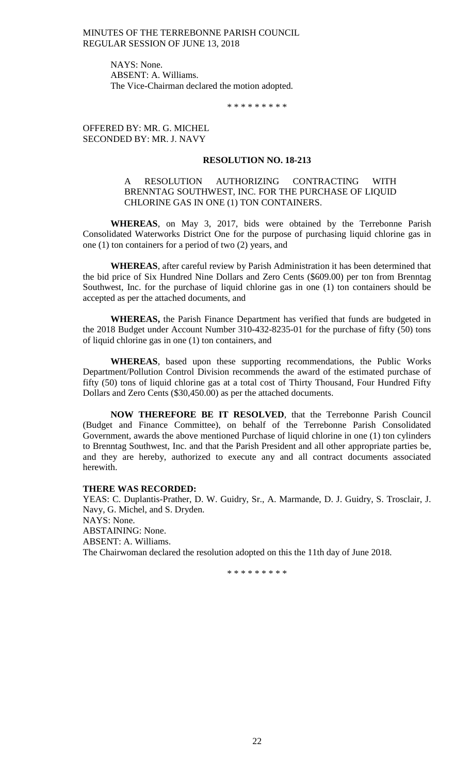> NAYS: None. ABSENT: A. Williams. The Vice-Chairman declared the motion adopted.

> > \* \* \* \* \* \* \* \* \*

OFFERED BY: MR. G. MICHEL SECONDED BY: MR. J. NAVY

#### **RESOLUTION NO. 18-213**

## A RESOLUTION AUTHORIZING CONTRACTING WITH BRENNTAG SOUTHWEST, INC. FOR THE PURCHASE OF LIQUID CHLORINE GAS IN ONE (1) TON CONTAINERS.

**WHEREAS**, on May 3, 2017, bids were obtained by the Terrebonne Parish Consolidated Waterworks District One for the purpose of purchasing liquid chlorine gas in one (1) ton containers for a period of two (2) years, and

**WHEREAS**, after careful review by Parish Administration it has been determined that the bid price of Six Hundred Nine Dollars and Zero Cents (\$609.00) per ton from Brenntag Southwest, Inc. for the purchase of liquid chlorine gas in one (1) ton containers should be accepted as per the attached documents, and

**WHEREAS,** the Parish Finance Department has verified that funds are budgeted in the 2018 Budget under Account Number 310-432-8235-01 for the purchase of fifty (50) tons of liquid chlorine gas in one (1) ton containers, and

**WHEREAS**, based upon these supporting recommendations, the Public Works Department/Pollution Control Division recommends the award of the estimated purchase of fifty (50) tons of liquid chlorine gas at a total cost of Thirty Thousand, Four Hundred Fifty Dollars and Zero Cents (\$30,450.00) as per the attached documents.

**NOW THEREFORE BE IT RESOLVED**, that the Terrebonne Parish Council (Budget and Finance Committee), on behalf of the Terrebonne Parish Consolidated Government, awards the above mentioned Purchase of liquid chlorine in one (1) ton cylinders to Brenntag Southwest, Inc. and that the Parish President and all other appropriate parties be, and they are hereby, authorized to execute any and all contract documents associated herewith.

#### **THERE WAS RECORDED:**

YEAS: C. Duplantis-Prather, D. W. Guidry, Sr., A. Marmande, D. J. Guidry, S. Trosclair, J. Navy, G. Michel, and S. Dryden. NAYS: None. ABSTAINING: None. ABSENT: A. Williams. The Chairwoman declared the resolution adopted on this the 11th day of June 2018.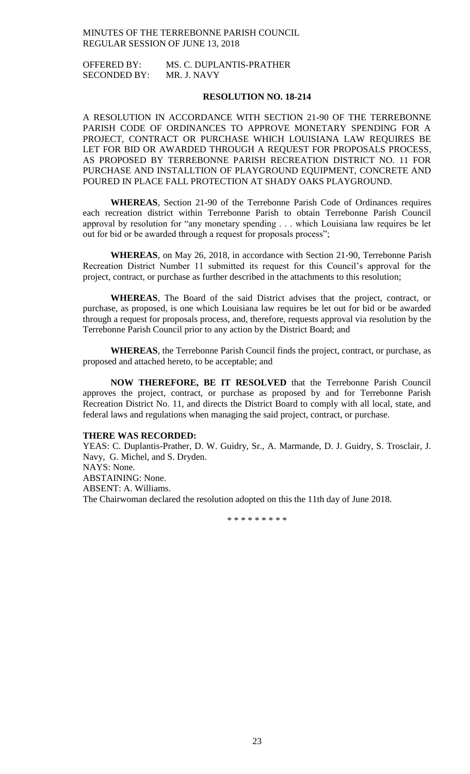OFFERED BY: MS. C. DUPLANTIS-PRATHER SECONDED BY: MR. J. NAVY

## **RESOLUTION NO. 18-214**

A RESOLUTION IN ACCORDANCE WITH SECTION 21-90 OF THE TERREBONNE PARISH CODE OF ORDINANCES TO APPROVE MONETARY SPENDING FOR A PROJECT, CONTRACT OR PURCHASE WHICH LOUISIANA LAW REQUIRES BE LET FOR BID OR AWARDED THROUGH A REQUEST FOR PROPOSALS PROCESS, AS PROPOSED BY TERREBONNE PARISH RECREATION DISTRICT NO. 11 FOR PURCHASE AND INSTALLTION OF PLAYGROUND EQUIPMENT, CONCRETE AND POURED IN PLACE FALL PROTECTION AT SHADY OAKS PLAYGROUND.

**WHEREAS**, Section 21-90 of the Terrebonne Parish Code of Ordinances requires each recreation district within Terrebonne Parish to obtain Terrebonne Parish Council approval by resolution for "any monetary spending . . . which Louisiana law requires be let out for bid or be awarded through a request for proposals process";

**WHEREAS**, on May 26, 2018, in accordance with Section 21-90, Terrebonne Parish Recreation District Number 11 submitted its request for this Council's approval for the project, contract, or purchase as further described in the attachments to this resolution;

**WHEREAS**, The Board of the said District advises that the project, contract, or purchase, as proposed, is one which Louisiana law requires be let out for bid or be awarded through a request for proposals process, and, therefore, requests approval via resolution by the Terrebonne Parish Council prior to any action by the District Board; and

**WHEREAS**, the Terrebonne Parish Council finds the project, contract, or purchase, as proposed and attached hereto, to be acceptable; and

**NOW THEREFORE, BE IT RESOLVED** that the Terrebonne Parish Council approves the project, contract, or purchase as proposed by and for Terrebonne Parish Recreation District No. 11, and directs the District Board to comply with all local, state, and federal laws and regulations when managing the said project, contract, or purchase.

#### **THERE WAS RECORDED:**

YEAS: C. Duplantis-Prather, D. W. Guidry, Sr., A. Marmande, D. J. Guidry, S. Trosclair, J. Navy, G. Michel, and S. Dryden. NAYS: None. ABSTAINING: None. ABSENT: A. Williams. The Chairwoman declared the resolution adopted on this the 11th day of June 2018.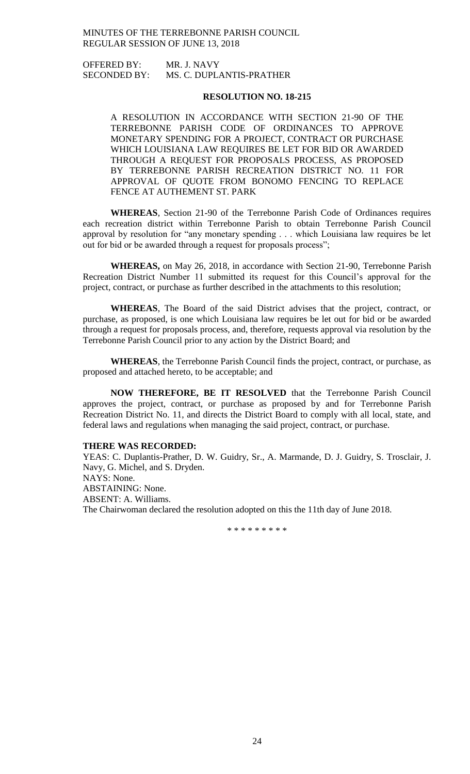OFFERED BY: MR. J. NAVY SECONDED BY: MS. C. DUPLANTIS-PRATHER

### **RESOLUTION NO. 18-215**

A RESOLUTION IN ACCORDANCE WITH SECTION 21-90 OF THE TERREBONNE PARISH CODE OF ORDINANCES TO APPROVE MONETARY SPENDING FOR A PROJECT, CONTRACT OR PURCHASE WHICH LOUISIANA LAW REQUIRES BE LET FOR BID OR AWARDED THROUGH A REQUEST FOR PROPOSALS PROCESS, AS PROPOSED BY TERREBONNE PARISH RECREATION DISTRICT NO. 11 FOR APPROVAL OF QUOTE FROM BONOMO FENCING TO REPLACE FENCE AT AUTHEMENT ST. PARK

**WHEREAS**, Section 21-90 of the Terrebonne Parish Code of Ordinances requires each recreation district within Terrebonne Parish to obtain Terrebonne Parish Council approval by resolution for "any monetary spending . . . which Louisiana law requires be let out for bid or be awarded through a request for proposals process";

**WHEREAS,** on May 26, 2018, in accordance with Section 21-90, Terrebonne Parish Recreation District Number 11 submitted its request for this Council's approval for the project, contract, or purchase as further described in the attachments to this resolution;

**WHEREAS**, The Board of the said District advises that the project, contract, or purchase, as proposed, is one which Louisiana law requires be let out for bid or be awarded through a request for proposals process, and, therefore, requests approval via resolution by the Terrebonne Parish Council prior to any action by the District Board; and

**WHEREAS**, the Terrebonne Parish Council finds the project, contract, or purchase, as proposed and attached hereto, to be acceptable; and

**NOW THEREFORE, BE IT RESOLVED** that the Terrebonne Parish Council approves the project, contract, or purchase as proposed by and for Terrebonne Parish Recreation District No. 11, and directs the District Board to comply with all local, state, and federal laws and regulations when managing the said project, contract, or purchase.

#### **THERE WAS RECORDED:**

YEAS: C. Duplantis-Prather, D. W. Guidry, Sr., A. Marmande, D. J. Guidry, S. Trosclair, J. Navy, G. Michel, and S. Dryden. NAYS: None. ABSTAINING: None. ABSENT: A. Williams. The Chairwoman declared the resolution adopted on this the 11th day of June 2018.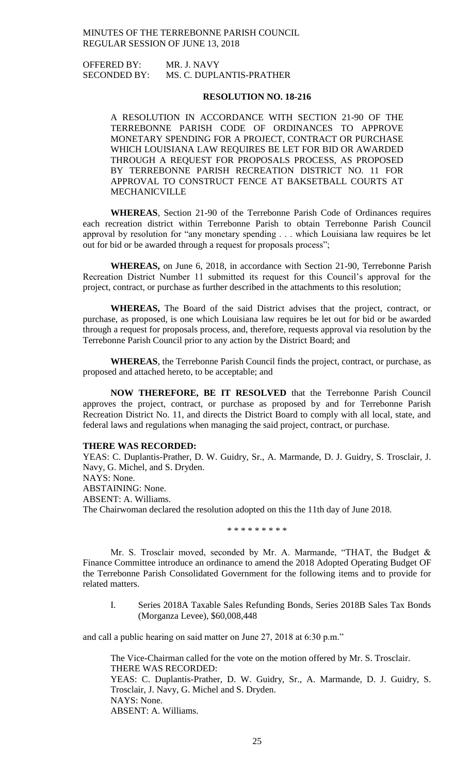OFFERED BY: MR. J. NAVY SECONDED BY: MS. C. DUPLANTIS-PRATHER

### **RESOLUTION NO. 18-216**

A RESOLUTION IN ACCORDANCE WITH SECTION 21-90 OF THE TERREBONNE PARISH CODE OF ORDINANCES TO APPROVE MONETARY SPENDING FOR A PROJECT, CONTRACT OR PURCHASE WHICH LOUISIANA LAW REQUIRES BE LET FOR BID OR AWARDED THROUGH A REQUEST FOR PROPOSALS PROCESS, AS PROPOSED BY TERREBONNE PARISH RECREATION DISTRICT NO. 11 FOR APPROVAL TO CONSTRUCT FENCE AT BAKSETBALL COURTS AT MECHANICVILLE

**WHEREAS**, Section 21-90 of the Terrebonne Parish Code of Ordinances requires each recreation district within Terrebonne Parish to obtain Terrebonne Parish Council approval by resolution for "any monetary spending . . . which Louisiana law requires be let out for bid or be awarded through a request for proposals process";

**WHEREAS,** on June 6, 2018, in accordance with Section 21-90, Terrebonne Parish Recreation District Number 11 submitted its request for this Council's approval for the project, contract, or purchase as further described in the attachments to this resolution;

**WHEREAS,** The Board of the said District advises that the project, contract, or purchase, as proposed, is one which Louisiana law requires be let out for bid or be awarded through a request for proposals process, and, therefore, requests approval via resolution by the Terrebonne Parish Council prior to any action by the District Board; and

**WHEREAS**, the Terrebonne Parish Council finds the project, contract, or purchase, as proposed and attached hereto, to be acceptable; and

**NOW THEREFORE, BE IT RESOLVED** that the Terrebonne Parish Council approves the project, contract, or purchase as proposed by and for Terrebonne Parish Recreation District No. 11, and directs the District Board to comply with all local, state, and federal laws and regulations when managing the said project, contract, or purchase.

#### **THERE WAS RECORDED:**

YEAS: C. Duplantis-Prather, D. W. Guidry, Sr., A. Marmande, D. J. Guidry, S. Trosclair, J. Navy, G. Michel, and S. Dryden. NAYS: None. ABSTAINING: None. ABSENT: A. Williams. The Chairwoman declared the resolution adopted on this the 11th day of June 2018.

\* \* \* \* \* \* \* \* \*

Mr. S. Trosclair moved, seconded by Mr. A. Marmande, "THAT, the Budget & Finance Committee introduce an ordinance to amend the 2018 Adopted Operating Budget OF the Terrebonne Parish Consolidated Government for the following items and to provide for related matters.

I. Series 2018A Taxable Sales Refunding Bonds, Series 2018B Sales Tax Bonds (Morganza Levee), \$60,008,448

and call a public hearing on said matter on June 27, 2018 at 6:30 p.m."

The Vice-Chairman called for the vote on the motion offered by Mr. S. Trosclair. THERE WAS RECORDED: YEAS: C. Duplantis-Prather, D. W. Guidry, Sr., A. Marmande, D. J. Guidry, S. Trosclair, J. Navy, G. Michel and S. Dryden. NAYS: None. ABSENT: A. Williams.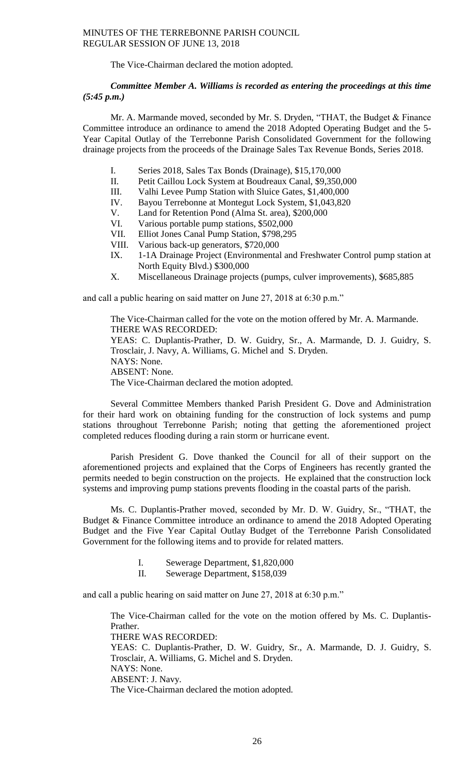The Vice-Chairman declared the motion adopted.

# *Committee Member A. Williams is recorded as entering the proceedings at this time (5:45 p.m.)*

Mr. A. Marmande moved, seconded by Mr. S. Dryden, "THAT, the Budget & Finance Committee introduce an ordinance to amend the 2018 Adopted Operating Budget and the 5- Year Capital Outlay of the Terrebonne Parish Consolidated Government for the following drainage projects from the proceeds of the Drainage Sales Tax Revenue Bonds, Series 2018.

- I. Series 2018, Sales Tax Bonds (Drainage), \$15,170,000
- II. Petit Caillou Lock System at Boudreaux Canal, \$9,350,000
- III. Valhi Levee Pump Station with Sluice Gates, \$1,400,000
- IV. Bayou Terrebonne at Montegut Lock System, \$1,043,820
- V. Land for Retention Pond (Alma St. area), \$200,000
- VI. Various portable pump stations, \$502,000
- VII. Elliot Jones Canal Pump Station, \$798,295
- VIII. Various back-up generators, \$720,000
- IX. 1-1A Drainage Project (Environmental and Freshwater Control pump station at North Equity Blvd.) \$300,000
- X. Miscellaneous Drainage projects (pumps, culver improvements), \$685,885

and call a public hearing on said matter on June 27, 2018 at 6:30 p.m."

The Vice-Chairman called for the vote on the motion offered by Mr. A. Marmande. THERE WAS RECORDED: YEAS: C. Duplantis-Prather, D. W. Guidry, Sr., A. Marmande, D. J. Guidry, S. Trosclair, J. Navy, A. Williams, G. Michel and S. Dryden. NAYS: None. ABSENT: None. The Vice-Chairman declared the motion adopted.

Several Committee Members thanked Parish President G. Dove and Administration for their hard work on obtaining funding for the construction of lock systems and pump stations throughout Terrebonne Parish; noting that getting the aforementioned project completed reduces flooding during a rain storm or hurricane event.

Parish President G. Dove thanked the Council for all of their support on the aforementioned projects and explained that the Corps of Engineers has recently granted the permits needed to begin construction on the projects. He explained that the construction lock systems and improving pump stations prevents flooding in the coastal parts of the parish.

Ms. C. Duplantis-Prather moved, seconded by Mr. D. W. Guidry, Sr., "THAT, the Budget & Finance Committee introduce an ordinance to amend the 2018 Adopted Operating Budget and the Five Year Capital Outlay Budget of the Terrebonne Parish Consolidated Government for the following items and to provide for related matters.

- I. Sewerage Department, \$1,820,000
- II. Sewerage Department, \$158,039

and call a public hearing on said matter on June 27, 2018 at 6:30 p.m."

The Vice-Chairman called for the vote on the motion offered by Ms. C. Duplantis-Prather. THERE WAS RECORDED: YEAS: C. Duplantis-Prather, D. W. Guidry, Sr., A. Marmande, D. J. Guidry, S. Trosclair, A. Williams, G. Michel and S. Dryden. NAYS: None. ABSENT: J. Navy. The Vice-Chairman declared the motion adopted.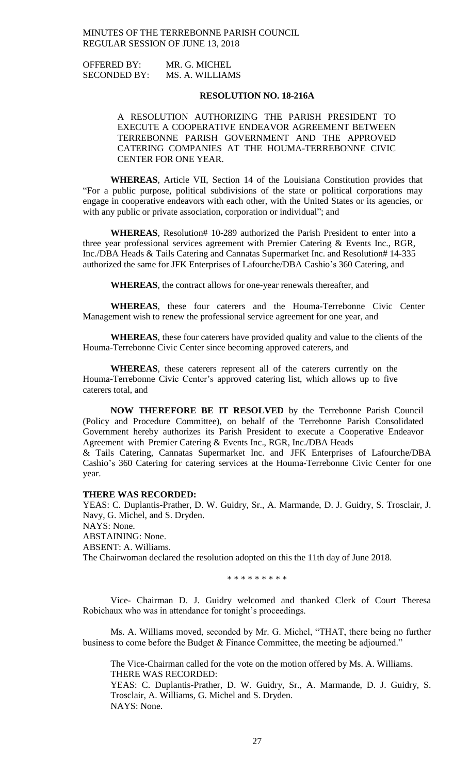OFFERED BY: MR. G. MICHEL SECONDED BY: MS. A. WILLIAMS

### **RESOLUTION NO. 18-216A**

A RESOLUTION AUTHORIZING THE PARISH PRESIDENT TO EXECUTE A COOPERATIVE ENDEAVOR AGREEMENT BETWEEN TERREBONNE PARISH GOVERNMENT AND THE APPROVED CATERING COMPANIES AT THE HOUMA-TERREBONNE CIVIC CENTER FOR ONE YEAR.

**WHEREAS**, Article VII, Section 14 of the Louisiana Constitution provides that "For a public purpose, political subdivisions of the state or political corporations may engage in cooperative endeavors with each other, with the United States or its agencies, or with any public or private association, corporation or individual"; and

**WHEREAS**, Resolution# 10-289 authorized the Parish President to enter into a three year professional services agreement with Premier Catering & Events Inc., RGR, Inc./DBA Heads & Tails Catering and Cannatas Supermarket Inc. and Resolution# 14-335 authorized the same for JFK Enterprises of Lafourche/DBA Cashio's 360 Catering, and

**WHEREAS**, the contract allows for one-year renewals thereafter, and

**WHEREAS**, these four caterers and the Houma-Terrebonne Civic Center Management wish to renew the professional service agreement for one year, and

**WHEREAS**, these four caterers have provided quality and value to the clients of the Houma-Terrebonne Civic Center since becoming approved caterers, and

**WHEREAS**, these caterers represent all of the caterers currently on the Houma-Terrebonne Civic Center's approved catering list, which allows up to five caterers total, and

**NOW THEREFORE BE IT RESOLVED** by the Terrebonne Parish Council (Policy and Procedure Committee), on behalf of the Terrebonne Parish Consolidated Government hereby authorizes its Parish President to execute a Cooperative Endeavor Agreement with Premier Catering & Events Inc., RGR, Inc./DBA Heads & Tails Catering, Cannatas Supermarket Inc. and JFK Enterprises of Lafourche/DBA

Cashio's 360 Catering for catering services at the Houma-Terrebonne Civic Center for one year.

### **THERE WAS RECORDED:**

YEAS: C. Duplantis-Prather, D. W. Guidry, Sr., A. Marmande, D. J. Guidry, S. Trosclair, J. Navy, G. Michel, and S. Dryden. NAYS: None. ABSTAINING: None. ABSENT: A. Williams. The Chairwoman declared the resolution adopted on this the 11th day of June 2018.

\* \* \* \* \* \* \* \* \*

Vice- Chairman D. J. Guidry welcomed and thanked Clerk of Court Theresa Robichaux who was in attendance for tonight's proceedings.

Ms. A. Williams moved, seconded by Mr. G. Michel, "THAT, there being no further business to come before the Budget & Finance Committee, the meeting be adjourned."

The Vice-Chairman called for the vote on the motion offered by Ms. A. Williams. THERE WAS RECORDED:

YEAS: C. Duplantis-Prather, D. W. Guidry, Sr., A. Marmande, D. J. Guidry, S. Trosclair, A. Williams, G. Michel and S. Dryden. NAYS: None.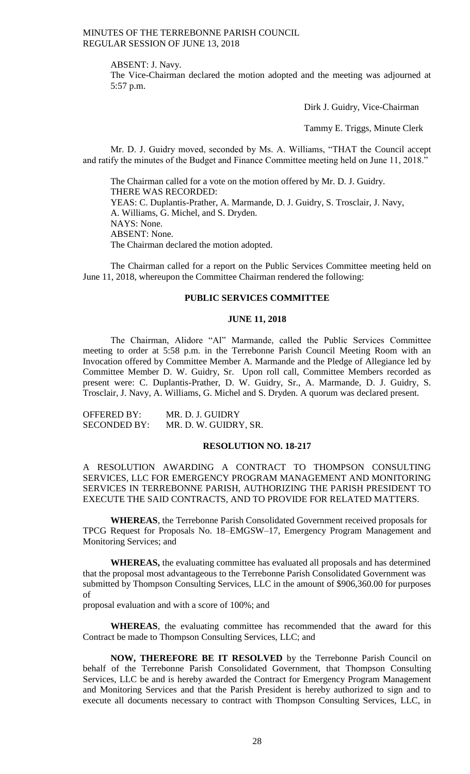ABSENT: J. Navy.

The Vice-Chairman declared the motion adopted and the meeting was adjourned at 5:57 p.m.

Dirk J. Guidry, Vice-Chairman

Tammy E. Triggs, Minute Clerk

Mr. D. J. Guidry moved, seconded by Ms. A. Williams, "THAT the Council accept and ratify the minutes of the Budget and Finance Committee meeting held on June 11, 2018."

The Chairman called for a vote on the motion offered by Mr. D. J. Guidry. THERE WAS RECORDED: YEAS: C. Duplantis-Prather, A. Marmande, D. J. Guidry, S. Trosclair, J. Navy, A. Williams, G. Michel, and S. Dryden. NAYS: None. ABSENT: None. The Chairman declared the motion adopted.

The Chairman called for a report on the Public Services Committee meeting held on June 11, 2018, whereupon the Committee Chairman rendered the following:

# **PUBLIC SERVICES COMMITTEE**

### **JUNE 11, 2018**

The Chairman, Alidore "Al" Marmande, called the Public Services Committee meeting to order at 5:58 p.m. in the Terrebonne Parish Council Meeting Room with an Invocation offered by Committee Member A. Marmande and the Pledge of Allegiance led by Committee Member D. W. Guidry, Sr. Upon roll call, Committee Members recorded as present were: C. Duplantis-Prather, D. W. Guidry, Sr., A. Marmande, D. J. Guidry, S. Trosclair, J. Navy, A. Williams, G. Michel and S. Dryden. A quorum was declared present.

OFFERED BY: MR. D. J. GUIDRY SECONDED BY: MR. D. W. GUIDRY, SR.

### **RESOLUTION NO. 18-217**

A RESOLUTION AWARDING A CONTRACT TO THOMPSON CONSULTING SERVICES, LLC FOR EMERGENCY PROGRAM MANAGEMENT AND MONITORING SERVICES IN TERREBONNE PARISH, AUTHORIZING THE PARISH PRESIDENT TO EXECUTE THE SAID CONTRACTS, AND TO PROVIDE FOR RELATED MATTERS.

**WHEREAS**, the Terrebonne Parish Consolidated Government received proposals for TPCG Request for Proposals No. 18–EMGSW–17, Emergency Program Management and Monitoring Services; and

**WHEREAS,** the evaluating committee has evaluated all proposals and has determined that the proposal most advantageous to the Terrebonne Parish Consolidated Government was submitted by Thompson Consulting Services, LLC in the amount of \$906,360.00 for purposes of

proposal evaluation and with a score of 100%; and

**WHEREAS**, the evaluating committee has recommended that the award for this Contract be made to Thompson Consulting Services, LLC; and

**NOW, THEREFORE BE IT RESOLVED** by the Terrebonne Parish Council on behalf of the Terrebonne Parish Consolidated Government, that Thompson Consulting Services, LLC be and is hereby awarded the Contract for Emergency Program Management and Monitoring Services and that the Parish President is hereby authorized to sign and to execute all documents necessary to contract with Thompson Consulting Services, LLC, in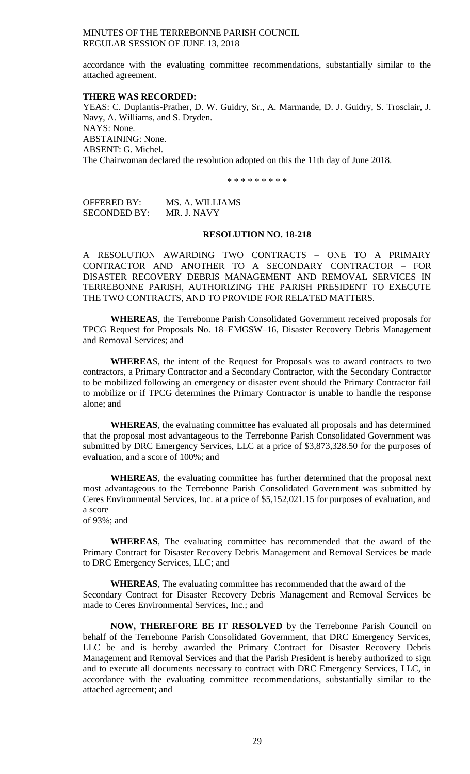accordance with the evaluating committee recommendations, substantially similar to the attached agreement.

### **THERE WAS RECORDED:**

YEAS: C. Duplantis-Prather, D. W. Guidry, Sr., A. Marmande, D. J. Guidry, S. Trosclair, J. Navy, A. Williams, and S. Dryden. NAYS: None. ABSTAINING: None. ABSENT: G. Michel. The Chairwoman declared the resolution adopted on this the 11th day of June 2018.

\* \* \* \* \* \* \* \* \*

OFFERED BY: MS. A. WILLIAMS SECONDED BY: MR. J. NAVY

### **RESOLUTION NO. 18-218**

A RESOLUTION AWARDING TWO CONTRACTS – ONE TO A PRIMARY CONTRACTOR AND ANOTHER TO A SECONDARY CONTRACTOR – FOR DISASTER RECOVERY DEBRIS MANAGEMENT AND REMOVAL SERVICES IN TERREBONNE PARISH, AUTHORIZING THE PARISH PRESIDENT TO EXECUTE THE TWO CONTRACTS, AND TO PROVIDE FOR RELATED MATTERS.

**WHEREAS**, the Terrebonne Parish Consolidated Government received proposals for TPCG Request for Proposals No. 18–EMGSW–16, Disaster Recovery Debris Management and Removal Services; and

**WHEREA**S, the intent of the Request for Proposals was to award contracts to two contractors, a Primary Contractor and a Secondary Contractor, with the Secondary Contractor to be mobilized following an emergency or disaster event should the Primary Contractor fail to mobilize or if TPCG determines the Primary Contractor is unable to handle the response alone; and

**WHEREAS**, the evaluating committee has evaluated all proposals and has determined that the proposal most advantageous to the Terrebonne Parish Consolidated Government was submitted by DRC Emergency Services, LLC at a price of \$3,873,328.50 for the purposes of evaluation, and a score of 100%; and

**WHEREAS**, the evaluating committee has further determined that the proposal next most advantageous to the Terrebonne Parish Consolidated Government was submitted by Ceres Environmental Services, Inc. at a price of \$5,152,021.15 for purposes of evaluation, and a score

of 93%; and

**WHEREAS**, The evaluating committee has recommended that the award of the Primary Contract for Disaster Recovery Debris Management and Removal Services be made to DRC Emergency Services, LLC; and

**WHEREAS**, The evaluating committee has recommended that the award of the Secondary Contract for Disaster Recovery Debris Management and Removal Services be made to Ceres Environmental Services, Inc.; and

**NOW, THEREFORE BE IT RESOLVED** by the Terrebonne Parish Council on behalf of the Terrebonne Parish Consolidated Government, that DRC Emergency Services, LLC be and is hereby awarded the Primary Contract for Disaster Recovery Debris Management and Removal Services and that the Parish President is hereby authorized to sign and to execute all documents necessary to contract with DRC Emergency Services, LLC, in accordance with the evaluating committee recommendations, substantially similar to the attached agreement; and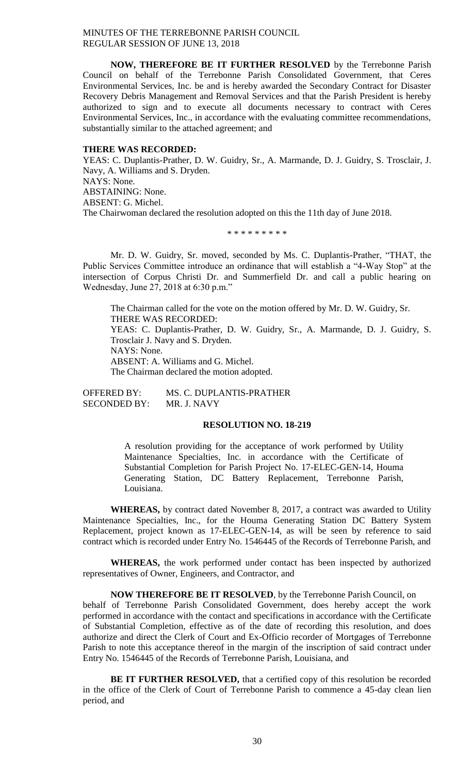**NOW, THEREFORE BE IT FURTHER RESOLVED** by the Terrebonne Parish Council on behalf of the Terrebonne Parish Consolidated Government, that Ceres Environmental Services, Inc. be and is hereby awarded the Secondary Contract for Disaster Recovery Debris Management and Removal Services and that the Parish President is hereby authorized to sign and to execute all documents necessary to contract with Ceres Environmental Services, Inc., in accordance with the evaluating committee recommendations, substantially similar to the attached agreement; and

### **THERE WAS RECORDED:**

YEAS: C. Duplantis-Prather, D. W. Guidry, Sr., A. Marmande, D. J. Guidry, S. Trosclair, J. Navy, A. Williams and S. Dryden. NAYS: None. ABSTAINING: None. ABSENT: G. Michel. The Chairwoman declared the resolution adopted on this the 11th day of June 2018.

\* \* \* \* \* \* \* \* \*

Mr. D. W. Guidry, Sr. moved, seconded by Ms. C. Duplantis-Prather, "THAT, the Public Services Committee introduce an ordinance that will establish a "4-Way Stop" at the intersection of Corpus Christi Dr. and Summerfield Dr. and call a public hearing on Wednesday, June 27, 2018 at 6:30 p.m."

The Chairman called for the vote on the motion offered by Mr. D. W. Guidry, Sr. THERE WAS RECORDED: YEAS: C. Duplantis-Prather, D. W. Guidry, Sr., A. Marmande, D. J. Guidry, S. Trosclair J. Navy and S. Dryden. NAYS: None. ABSENT: A. Williams and G. Michel. The Chairman declared the motion adopted.

OFFERED BY: MS. C. DUPLANTIS-PRATHER SECONDED BY: MR. J. NAVY

### **RESOLUTION NO. 18-219**

A resolution providing for the acceptance of work performed by Utility Maintenance Specialties, Inc. in accordance with the Certificate of Substantial Completion for Parish Project No. 17-ELEC-GEN-14, Houma Generating Station, DC Battery Replacement, Terrebonne Parish, Louisiana.

**WHEREAS,** by contract dated November 8, 2017, a contract was awarded to Utility Maintenance Specialties, Inc., for the Houma Generating Station DC Battery System Replacement, project known as 17-ELEC-GEN-14, as will be seen by reference to said contract which is recorded under Entry No. 1546445 of the Records of Terrebonne Parish, and

**WHEREAS,** the work performed under contact has been inspected by authorized representatives of Owner, Engineers, and Contractor, and

**NOW THEREFORE BE IT RESOLVED**, by the Terrebonne Parish Council, on behalf of Terrebonne Parish Consolidated Government, does hereby accept the work performed in accordance with the contact and specifications in accordance with the Certificate of Substantial Completion, effective as of the date of recording this resolution, and does authorize and direct the Clerk of Court and Ex-Officio recorder of Mortgages of Terrebonne Parish to note this acceptance thereof in the margin of the inscription of said contract under Entry No. 1546445 of the Records of Terrebonne Parish, Louisiana, and

**BE IT FURTHER RESOLVED, that a certified copy of this resolution be recorded** in the office of the Clerk of Court of Terrebonne Parish to commence a 45-day clean lien period, and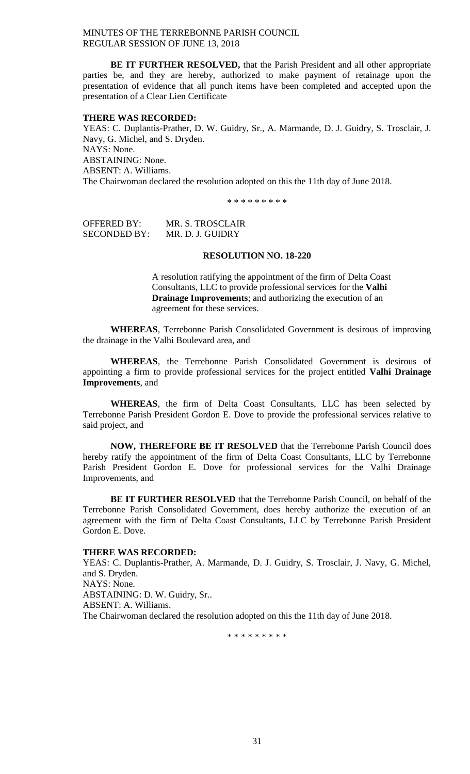**BE IT FURTHER RESOLVED,** that the Parish President and all other appropriate parties be, and they are hereby, authorized to make payment of retainage upon the presentation of evidence that all punch items have been completed and accepted upon the presentation of a Clear Lien Certificate

#### **THERE WAS RECORDED:**

YEAS: C. Duplantis-Prather, D. W. Guidry, Sr., A. Marmande, D. J. Guidry, S. Trosclair, J. Navy, G. Michel, and S. Dryden. NAYS: None. ABSTAINING: None. ABSENT: A. Williams. The Chairwoman declared the resolution adopted on this the 11th day of June 2018.

\* \* \* \* \* \* \* \* \*

OFFERED BY: MR. S. TROSCLAIR SECONDED BY: MR. D. J. GUIDRY

### **RESOLUTION NO. 18-220**

A resolution ratifying the appointment of the firm of Delta Coast Consultants, LLC to provide professional services for the **Valhi Drainage Improvements**; and authorizing the execution of an agreement for these services.

**WHEREAS**, Terrebonne Parish Consolidated Government is desirous of improving the drainage in the Valhi Boulevard area, and

**WHEREAS**, the Terrebonne Parish Consolidated Government is desirous of appointing a firm to provide professional services for the project entitled **Valhi Drainage Improvements**, and

**WHEREAS**, the firm of Delta Coast Consultants, LLC has been selected by Terrebonne Parish President Gordon E. Dove to provide the professional services relative to said project, and

**NOW, THEREFORE BE IT RESOLVED** that the Terrebonne Parish Council does hereby ratify the appointment of the firm of Delta Coast Consultants, LLC by Terrebonne Parish President Gordon E. Dove for professional services for the Valhi Drainage Improvements, and

**BE IT FURTHER RESOLVED** that the Terrebonne Parish Council, on behalf of the Terrebonne Parish Consolidated Government, does hereby authorize the execution of an agreement with the firm of Delta Coast Consultants, LLC by Terrebonne Parish President Gordon E. Dove.

#### **THERE WAS RECORDED:**

YEAS: C. Duplantis-Prather, A. Marmande, D. J. Guidry, S. Trosclair, J. Navy, G. Michel, and S. Dryden. NAYS: None. ABSTAINING: D. W. Guidry, Sr.. ABSENT: A. Williams. The Chairwoman declared the resolution adopted on this the 11th day of June 2018.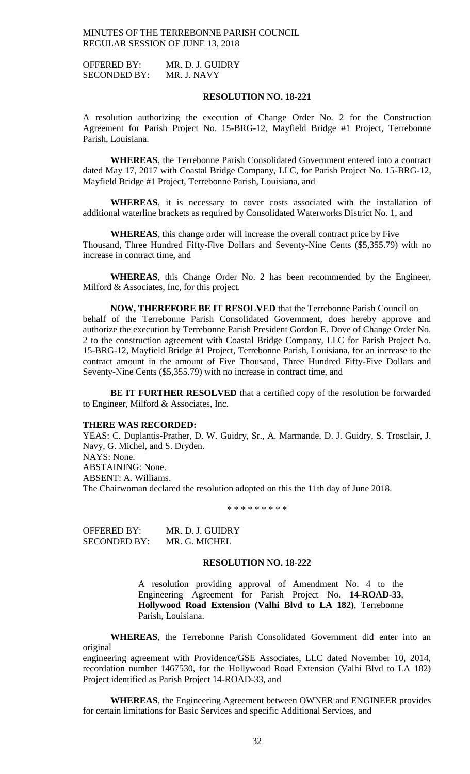OFFERED BY: MR. D. J. GUIDRY SECONDED BY: MR. J. NAVY

### **RESOLUTION NO. 18-221**

A resolution authorizing the execution of Change Order No. 2 for the Construction Agreement for Parish Project No. 15-BRG-12, Mayfield Bridge #1 Project, Terrebonne Parish, Louisiana.

**WHEREAS**, the Terrebonne Parish Consolidated Government entered into a contract dated May 17, 2017 with Coastal Bridge Company, LLC, for Parish Project No. 15-BRG-12, Mayfield Bridge #1 Project, Terrebonne Parish, Louisiana, and

**WHEREAS**, it is necessary to cover costs associated with the installation of additional waterline brackets as required by Consolidated Waterworks District No. 1, and

**WHEREAS**, this change order will increase the overall contract price by Five Thousand, Three Hundred Fifty-Five Dollars and Seventy-Nine Cents (\$5,355.79) with no increase in contract time, and

**WHEREAS**, this Change Order No. 2 has been recommended by the Engineer, Milford & Associates, Inc, for this project.

**NOW, THEREFORE BE IT RESOLVED** that the Terrebonne Parish Council on behalf of the Terrebonne Parish Consolidated Government, does hereby approve and authorize the execution by Terrebonne Parish President Gordon E. Dove of Change Order No. 2 to the construction agreement with Coastal Bridge Company, LLC for Parish Project No. 15-BRG-12, Mayfield Bridge #1 Project, Terrebonne Parish, Louisiana, for an increase to the contract amount in the amount of Five Thousand, Three Hundred Fifty-Five Dollars and Seventy-Nine Cents (\$5,355.79) with no increase in contract time, and

**BE IT FURTHER RESOLVED** that a certified copy of the resolution be forwarded to Engineer, Milford & Associates, Inc.

#### **THERE WAS RECORDED:**

YEAS: C. Duplantis-Prather, D. W. Guidry, Sr., A. Marmande, D. J. Guidry, S. Trosclair, J. Navy, G. Michel, and S. Dryden. NAYS: None.

ABSTAINING: None.

ABSENT: A. Williams.

The Chairwoman declared the resolution adopted on this the 11th day of June 2018.

\* \* \* \* \* \* \* \* \*

OFFERED BY: MR. D. J. GUIDRY SECONDED BY: MR. G. MICHEL

## **RESOLUTION NO. 18-222**

A resolution providing approval of Amendment No. 4 to the Engineering Agreement for Parish Project No. **14-ROAD-33**, **Hollywood Road Extension (Valhi Blvd to LA 182)**, Terrebonne Parish, Louisiana.

**WHEREAS**, the Terrebonne Parish Consolidated Government did enter into an original

engineering agreement with Providence/GSE Associates, LLC dated November 10, 2014, recordation number 1467530, for the Hollywood Road Extension (Valhi Blvd to LA 182) Project identified as Parish Project 14-ROAD-33, and

**WHEREAS**, the Engineering Agreement between OWNER and ENGINEER provides for certain limitations for Basic Services and specific Additional Services, and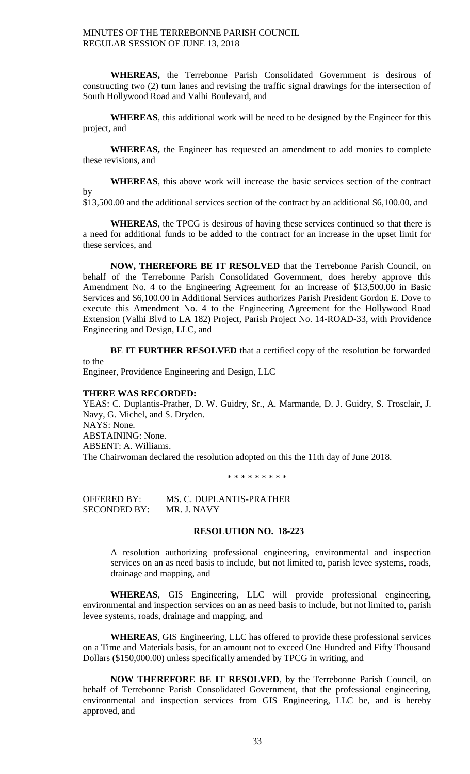**WHEREAS,** the Terrebonne Parish Consolidated Government is desirous of constructing two (2) turn lanes and revising the traffic signal drawings for the intersection of South Hollywood Road and Valhi Boulevard, and

**WHEREAS**, this additional work will be need to be designed by the Engineer for this project, and

**WHEREAS,** the Engineer has requested an amendment to add monies to complete these revisions, and

**WHEREAS**, this above work will increase the basic services section of the contract by

\$13,500.00 and the additional services section of the contract by an additional \$6,100.00, and

**WHEREAS**, the TPCG is desirous of having these services continued so that there is a need for additional funds to be added to the contract for an increase in the upset limit for these services, and

**NOW, THEREFORE BE IT RESOLVED** that the Terrebonne Parish Council, on behalf of the Terrebonne Parish Consolidated Government, does hereby approve this Amendment No. 4 to the Engineering Agreement for an increase of \$13,500.00 in Basic Services and \$6,100.00 in Additional Services authorizes Parish President Gordon E. Dove to execute this Amendment No. 4 to the Engineering Agreement for the Hollywood Road Extension (Valhi Blvd to LA 182) Project, Parish Project No. 14-ROAD-33, with Providence Engineering and Design, LLC, and

**BE IT FURTHER RESOLVED** that a certified copy of the resolution be forwarded to the

Engineer, Providence Engineering and Design, LLC

### **THERE WAS RECORDED:**

YEAS: C. Duplantis-Prather, D. W. Guidry, Sr., A. Marmande, D. J. Guidry, S. Trosclair, J. Navy, G. Michel, and S. Dryden. NAYS: None. ABSTAINING: None. ABSENT: A. Williams. The Chairwoman declared the resolution adopted on this the 11th day of June 2018.

\* \* \* \* \* \* \* \* \*

OFFERED BY: MS. C. DUPLANTIS-PRATHER<br>SECONDED BY: MR. J. NAVY SECONDED BY:

#### **RESOLUTION NO. 18-223**

A resolution authorizing professional engineering, environmental and inspection services on an as need basis to include, but not limited to, parish levee systems, roads, drainage and mapping, and

**WHEREAS**, GIS Engineering, LLC will provide professional engineering, environmental and inspection services on an as need basis to include, but not limited to, parish levee systems, roads, drainage and mapping, and

**WHEREAS**, GIS Engineering, LLC has offered to provide these professional services on a Time and Materials basis, for an amount not to exceed One Hundred and Fifty Thousand Dollars (\$150,000.00) unless specifically amended by TPCG in writing, and

**NOW THEREFORE BE IT RESOLVED**, by the Terrebonne Parish Council, on behalf of Terrebonne Parish Consolidated Government, that the professional engineering, environmental and inspection services from GIS Engineering, LLC be, and is hereby approved, and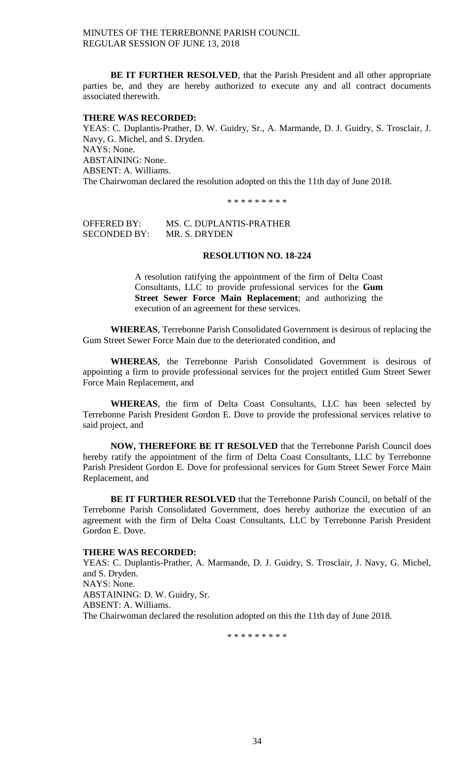**BE IT FURTHER RESOLVED**, that the Parish President and all other appropriate parties be, and they are hereby authorized to execute any and all contract documents associated therewith.

### **THERE WAS RECORDED:**

YEAS: C. Duplantis-Prather, D. W. Guidry, Sr., A. Marmande, D. J. Guidry, S. Trosclair, J. Navy, G. Michel, and S. Dryden. NAYS: None. ABSTAINING: None. ABSENT: A. Williams. The Chairwoman declared the resolution adopted on this the 11th day of June 2018.

\* \* \* \* \* \* \* \* \*

OFFERED BY: MS. C. DUPLANTIS-PRATHER SECONDED BY: MR. S. DRYDEN

## **RESOLUTION NO. 18-224**

A resolution ratifying the appointment of the firm of Delta Coast Consultants, LLC to provide professional services for the **Gum Street Sewer Force Main Replacement**; and authorizing the execution of an agreement for these services.

**WHEREAS**, Terrebonne Parish Consolidated Government is desirous of replacing the Gum Street Sewer Force Main due to the deteriorated condition, and

**WHEREAS**, the Terrebonne Parish Consolidated Government is desirous of appointing a firm to provide professional services for the project entitled Gum Street Sewer Force Main Replacement, and

**WHEREAS**, the firm of Delta Coast Consultants, LLC has been selected by Terrebonne Parish President Gordon E. Dove to provide the professional services relative to said project, and

**NOW, THEREFORE BE IT RESOLVED** that the Terrebonne Parish Council does hereby ratify the appointment of the firm of Delta Coast Consultants, LLC by Terrebonne Parish President Gordon E. Dove for professional services for Gum Street Sewer Force Main Replacement, and

**BE IT FURTHER RESOLVED** that the Terrebonne Parish Council, on behalf of the Terrebonne Parish Consolidated Government, does hereby authorize the execution of an agreement with the firm of Delta Coast Consultants, LLC by Terrebonne Parish President Gordon E. Dove.

### **THERE WAS RECORDED:**

YEAS: C. Duplantis-Prather, A. Marmande, D. J. Guidry, S. Trosclair, J. Navy, G. Michel, and S. Dryden. NAYS: None. ABSTAINING: D. W. Guidry, Sr. ABSENT: A. Williams. The Chairwoman declared the resolution adopted on this the 11th day of June 2018.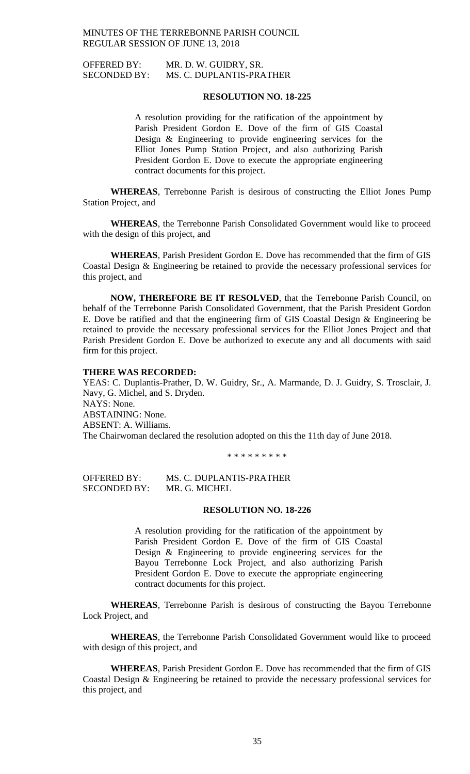OFFERED BY: MR. D. W. GUIDRY, SR. SECONDED BY: MS. C. DUPLANTIS-PRATHER

### **RESOLUTION NO. 18-225**

A resolution providing for the ratification of the appointment by Parish President Gordon E. Dove of the firm of GIS Coastal Design & Engineering to provide engineering services for the Elliot Jones Pump Station Project, and also authorizing Parish President Gordon E. Dove to execute the appropriate engineering contract documents for this project.

**WHEREAS**, Terrebonne Parish is desirous of constructing the Elliot Jones Pump Station Project, and

**WHEREAS**, the Terrebonne Parish Consolidated Government would like to proceed with the design of this project, and

**WHEREAS**, Parish President Gordon E. Dove has recommended that the firm of GIS Coastal Design & Engineering be retained to provide the necessary professional services for this project, and

**NOW, THEREFORE BE IT RESOLVED**, that the Terrebonne Parish Council, on behalf of the Terrebonne Parish Consolidated Government, that the Parish President Gordon E. Dove be ratified and that the engineering firm of GIS Coastal Design & Engineering be retained to provide the necessary professional services for the Elliot Jones Project and that Parish President Gordon E. Dove be authorized to execute any and all documents with said firm for this project.

### **THERE WAS RECORDED:**

YEAS: C. Duplantis-Prather, D. W. Guidry, Sr., A. Marmande, D. J. Guidry, S. Trosclair, J. Navy, G. Michel, and S. Dryden. NAYS: None. ABSTAINING: None. ABSENT: A. Williams. The Chairwoman declared the resolution adopted on this the 11th day of June 2018.

\* \* \* \* \* \* \* \* \*

OFFERED BY: MS. C. DUPLANTIS-PRATHER SECONDED BY: MR. G. MICHEL

#### **RESOLUTION NO. 18-226**

A resolution providing for the ratification of the appointment by Parish President Gordon E. Dove of the firm of GIS Coastal Design & Engineering to provide engineering services for the Bayou Terrebonne Lock Project, and also authorizing Parish President Gordon E. Dove to execute the appropriate engineering contract documents for this project.

**WHEREAS**, Terrebonne Parish is desirous of constructing the Bayou Terrebonne Lock Project, and

**WHEREAS**, the Terrebonne Parish Consolidated Government would like to proceed with design of this project, and

**WHEREAS**, Parish President Gordon E. Dove has recommended that the firm of GIS Coastal Design & Engineering be retained to provide the necessary professional services for this project, and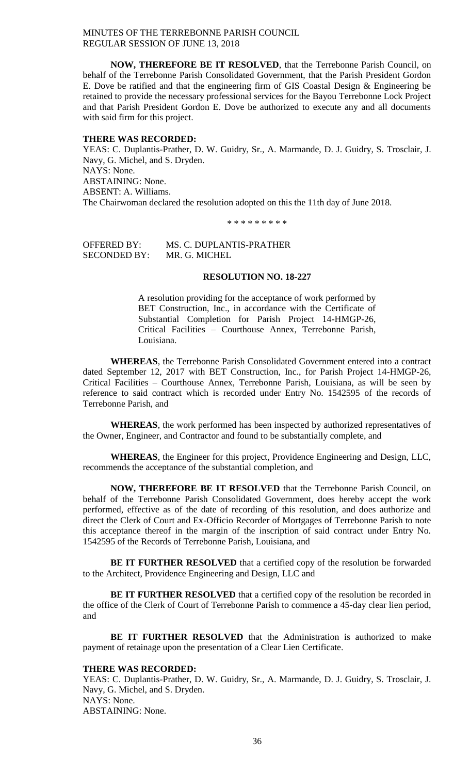**NOW, THEREFORE BE IT RESOLVED**, that the Terrebonne Parish Council, on behalf of the Terrebonne Parish Consolidated Government, that the Parish President Gordon E. Dove be ratified and that the engineering firm of GIS Coastal Design & Engineering be retained to provide the necessary professional services for the Bayou Terrebonne Lock Project and that Parish President Gordon E. Dove be authorized to execute any and all documents with said firm for this project.

### **THERE WAS RECORDED:**

YEAS: C. Duplantis-Prather, D. W. Guidry, Sr., A. Marmande, D. J. Guidry, S. Trosclair, J. Navy, G. Michel, and S. Dryden. NAYS: None. ABSTAINING: None. ABSENT: A. Williams. The Chairwoman declared the resolution adopted on this the 11th day of June 2018.

\* \* \* \* \* \* \* \* \*

OFFERED BY: MS. C. DUPLANTIS-PRATHER SECONDED BY: MR. G. MICHEL

## **RESOLUTION NO. 18-227**

A resolution providing for the acceptance of work performed by BET Construction, Inc., in accordance with the Certificate of Substantial Completion for Parish Project 14-HMGP-26, Critical Facilities – Courthouse Annex, Terrebonne Parish, Louisiana.

**WHEREAS**, the Terrebonne Parish Consolidated Government entered into a contract dated September 12, 2017 with BET Construction, Inc., for Parish Project 14-HMGP-26, Critical Facilities – Courthouse Annex, Terrebonne Parish, Louisiana, as will be seen by reference to said contract which is recorded under Entry No. 1542595 of the records of Terrebonne Parish, and

**WHEREAS**, the work performed has been inspected by authorized representatives of the Owner, Engineer, and Contractor and found to be substantially complete, and

**WHEREAS**, the Engineer for this project, Providence Engineering and Design, LLC, recommends the acceptance of the substantial completion, and

**NOW, THEREFORE BE IT RESOLVED** that the Terrebonne Parish Council, on behalf of the Terrebonne Parish Consolidated Government, does hereby accept the work performed, effective as of the date of recording of this resolution, and does authorize and direct the Clerk of Court and Ex-Officio Recorder of Mortgages of Terrebonne Parish to note this acceptance thereof in the margin of the inscription of said contract under Entry No. 1542595 of the Records of Terrebonne Parish, Louisiana, and

**BE IT FURTHER RESOLVED** that a certified copy of the resolution be forwarded to the Architect, Providence Engineering and Design, LLC and

**BE IT FURTHER RESOLVED** that a certified copy of the resolution be recorded in the office of the Clerk of Court of Terrebonne Parish to commence a 45-day clear lien period, and

**BE IT FURTHER RESOLVED** that the Administration is authorized to make payment of retainage upon the presentation of a Clear Lien Certificate.

### **THERE WAS RECORDED:**

YEAS: C. Duplantis-Prather, D. W. Guidry, Sr., A. Marmande, D. J. Guidry, S. Trosclair, J. Navy, G. Michel, and S. Dryden. NAYS: None. ABSTAINING: None.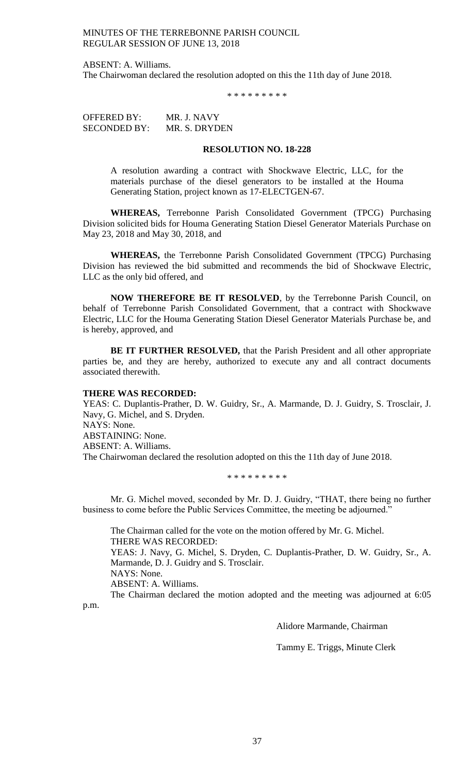ABSENT: A. Williams.

The Chairwoman declared the resolution adopted on this the 11th day of June 2018.

\* \* \* \* \* \* \* \* \*

OFFERED BY: MR. J. NAVY SECONDED BY: MR. S. DRYDEN

### **RESOLUTION NO. 18-228**

A resolution awarding a contract with Shockwave Electric, LLC, for the materials purchase of the diesel generators to be installed at the Houma Generating Station, project known as 17-ELECTGEN-67.

**WHEREAS,** Terrebonne Parish Consolidated Government (TPCG) Purchasing Division solicited bids for Houma Generating Station Diesel Generator Materials Purchase on May 23, 2018 and May 30, 2018, and

**WHEREAS,** the Terrebonne Parish Consolidated Government (TPCG) Purchasing Division has reviewed the bid submitted and recommends the bid of Shockwave Electric, LLC as the only bid offered, and

**NOW THEREFORE BE IT RESOLVED**, by the Terrebonne Parish Council, on behalf of Terrebonne Parish Consolidated Government, that a contract with Shockwave Electric, LLC for the Houma Generating Station Diesel Generator Materials Purchase be, and is hereby, approved, and

**BE IT FURTHER RESOLVED,** that the Parish President and all other appropriate parties be, and they are hereby, authorized to execute any and all contract documents associated therewith.

### **THERE WAS RECORDED:**

YEAS: C. Duplantis-Prather, D. W. Guidry, Sr., A. Marmande, D. J. Guidry, S. Trosclair, J. Navy, G. Michel, and S. Dryden. NAYS: None. ABSTAINING: None. ABSENT: A. Williams. The Chairwoman declared the resolution adopted on this the 11th day of June 2018.

\* \* \* \* \* \* \* \* \*

Mr. G. Michel moved, seconded by Mr. D. J. Guidry, "THAT, there being no further business to come before the Public Services Committee, the meeting be adjourned."

The Chairman called for the vote on the motion offered by Mr. G. Michel. THERE WAS RECORDED: YEAS: J. Navy, G. Michel, S. Dryden, C. Duplantis-Prather, D. W. Guidry, Sr., A. Marmande, D. J. Guidry and S. Trosclair. NAYS: None. ABSENT: A. Williams. The Chairman declared the motion adopted and the meeting was adjourned at 6:05

p.m.

Alidore Marmande, Chairman

Tammy E. Triggs, Minute Clerk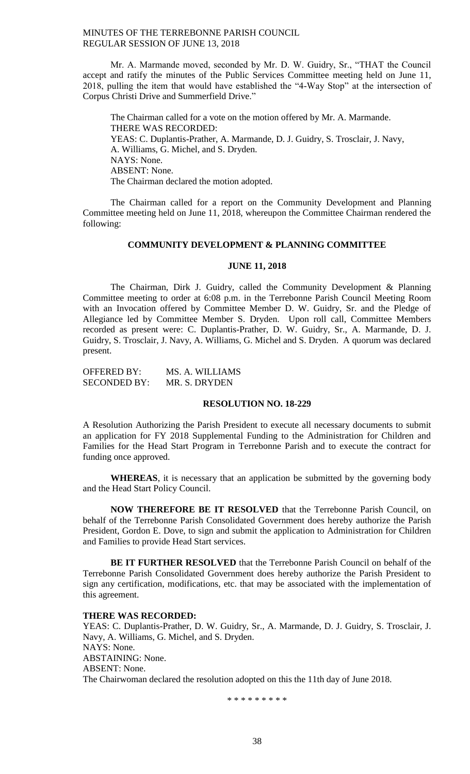Mr. A. Marmande moved, seconded by Mr. D. W. Guidry, Sr., "THAT the Council accept and ratify the minutes of the Public Services Committee meeting held on June 11, 2018, pulling the item that would have established the "4-Way Stop" at the intersection of Corpus Christi Drive and Summerfield Drive."

The Chairman called for a vote on the motion offered by Mr. A. Marmande. THERE WAS RECORDED: YEAS: C. Duplantis-Prather, A. Marmande, D. J. Guidry, S. Trosclair, J. Navy, A. Williams, G. Michel, and S. Dryden. NAYS: None. ABSENT: None. The Chairman declared the motion adopted.

The Chairman called for a report on the Community Development and Planning Committee meeting held on June 11, 2018, whereupon the Committee Chairman rendered the following:

## **COMMUNITY DEVELOPMENT & PLANNING COMMITTEE**

## **JUNE 11, 2018**

The Chairman, Dirk J. Guidry, called the Community Development & Planning Committee meeting to order at 6:08 p.m. in the Terrebonne Parish Council Meeting Room with an Invocation offered by Committee Member D. W. Guidry, Sr. and the Pledge of Allegiance led by Committee Member S. Dryden. Upon roll call, Committee Members recorded as present were: C. Duplantis-Prather, D. W. Guidry, Sr., A. Marmande, D. J. Guidry, S. Trosclair, J. Navy, A. Williams, G. Michel and S. Dryden. A quorum was declared present.

OFFERED BY: MS. A. WILLIAMS SECONDED BY: MR. S. DRYDEN

## **RESOLUTION NO. 18-229**

A Resolution Authorizing the Parish President to execute all necessary documents to submit an application for FY 2018 Supplemental Funding to the Administration for Children and Families for the Head Start Program in Terrebonne Parish and to execute the contract for funding once approved.

**WHEREAS**, it is necessary that an application be submitted by the governing body and the Head Start Policy Council.

**NOW THEREFORE BE IT RESOLVED** that the Terrebonne Parish Council, on behalf of the Terrebonne Parish Consolidated Government does hereby authorize the Parish President, Gordon E. Dove, to sign and submit the application to Administration for Children and Families to provide Head Start services.

**BE IT FURTHER RESOLVED** that the Terrebonne Parish Council on behalf of the Terrebonne Parish Consolidated Government does hereby authorize the Parish President to sign any certification, modifications, etc. that may be associated with the implementation of this agreement.

#### **THERE WAS RECORDED:**

YEAS: C. Duplantis-Prather, D. W. Guidry, Sr., A. Marmande, D. J. Guidry, S. Trosclair, J. Navy, A. Williams, G. Michel, and S. Dryden. NAYS: None. ABSTAINING: None. ABSENT: None. The Chairwoman declared the resolution adopted on this the 11th day of June 2018.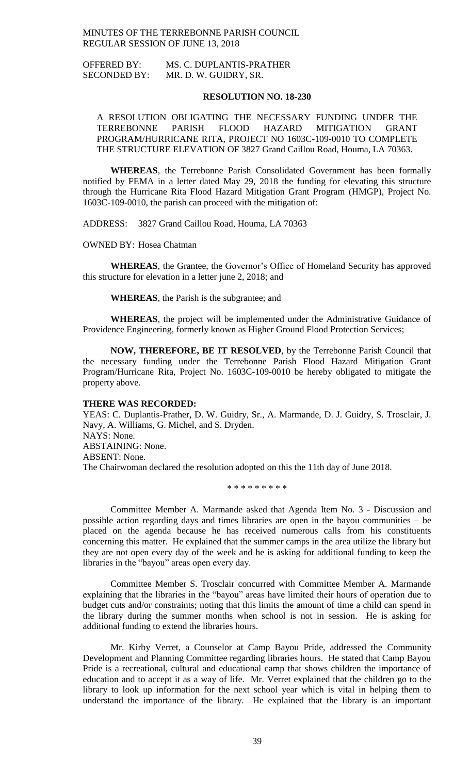OFFERED BY: MS. C. DUPLANTIS-PRATHER SECONDED BY: MR. D. W. GUIDRY, SR.

### **RESOLUTION NO. 18-230**

A RESOLUTION OBLIGATING THE NECESSARY FUNDING UNDER THE TERREBONNE PARISH FLOOD HAZARD MITIGATION GRANT PROGRAM/HURRICANE RITA, PROJECT NO 1603C-109-0010 TO COMPLETE THE STRUCTURE ELEVATION OF 3827 Grand Caillou Road, Houma, LA 70363.

**WHEREAS**, the Terrebonne Parish Consolidated Government has been formally notified by FEMA in a letter dated May 29, 2018 the funding for elevating this structure through the Hurricane Rita Flood Hazard Mitigation Grant Program (HMGP), Project No. 1603C-109-0010, the parish can proceed with the mitigation of:

ADDRESS: 3827 Grand Caillou Road, Houma, LA 70363

OWNED BY: Hosea Chatman

**WHEREAS**, the Grantee, the Governor's Office of Homeland Security has approved this structure for elevation in a letter june 2, 2018; and

**WHEREAS**, the Parish is the subgrantee; and

**WHEREAS**, the project will be implemented under the Administrative Guidance of Providence Engineering, formerly known as Higher Ground Flood Protection Services;

**NOW, THEREFORE, BE IT RESOLVED**, by the Terrebonne Parish Council that the necessary funding under the Terrebonne Parish Flood Hazard Mitigation Grant Program/Hurricane Rita, Project No. 1603C-109-0010 be hereby obligated to mitigate the property above.

#### **THERE WAS RECORDED:**

YEAS: C. Duplantis-Prather, D. W. Guidry, Sr., A. Marmande, D. J. Guidry, S. Trosclair, J. Navy, A. Williams, G. Michel, and S. Dryden. NAYS: None. ABSTAINING: None. ABSENT: None. The Chairwoman declared the resolution adopted on this the 11th day of June 2018.

\* \* \* \* \* \* \* \* \*

Committee Member A. Marmande asked that Agenda Item No. 3 - Discussion and possible action regarding days and times libraries are open in the bayou communities – be placed on the agenda because he has received numerous calls from his constituents concerning this matter. He explained that the summer camps in the area utilize the library but they are not open every day of the week and he is asking for additional funding to keep the libraries in the "bayou" areas open every day.

Committee Member S. Trosclair concurred with Committee Member A. Marmande explaining that the libraries in the "bayou" areas have limited their hours of operation due to budget cuts and/or constraints; noting that this limits the amount of time a child can spend in the library during the summer months when school is not in session. He is asking for additional funding to extend the libraries hours.

Mr. Kirby Verret, a Counselor at Camp Bayou Pride, addressed the Community Development and Planning Committee regarding libraries hours. He stated that Camp Bayou Pride is a recreational, cultural and educational camp that shows children the importance of education and to accept it as a way of life. Mr. Verret explained that the children go to the library to look up information for the next school year which is vital in helping them to understand the importance of the library. He explained that the library is an important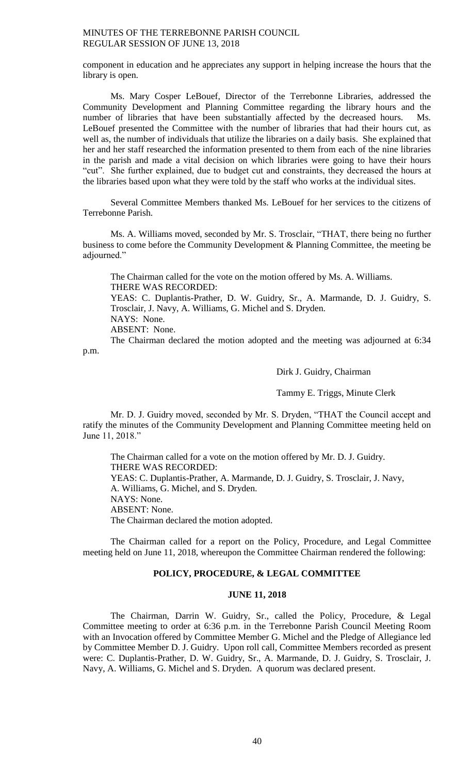component in education and he appreciates any support in helping increase the hours that the library is open.

Ms. Mary Cosper LeBouef, Director of the Terrebonne Libraries, addressed the Community Development and Planning Committee regarding the library hours and the number of libraries that have been substantially affected by the decreased hours. Ms. LeBouef presented the Committee with the number of libraries that had their hours cut, as well as, the number of individuals that utilize the libraries on a daily basis. She explained that her and her staff researched the information presented to them from each of the nine libraries in the parish and made a vital decision on which libraries were going to have their hours "cut". She further explained, due to budget cut and constraints, they decreased the hours at the libraries based upon what they were told by the staff who works at the individual sites.

Several Committee Members thanked Ms. LeBouef for her services to the citizens of Terrebonne Parish.

Ms. A. Williams moved, seconded by Mr. S. Trosclair, "THAT, there being no further business to come before the Community Development & Planning Committee, the meeting be adjourned."

The Chairman called for the vote on the motion offered by Ms. A. Williams. THERE WAS RECORDED: YEAS: C. Duplantis-Prather, D. W. Guidry, Sr., A. Marmande, D. J. Guidry, S. Trosclair, J. Navy, A. Williams, G. Michel and S. Dryden. NAYS: None.

ABSENT: None.

The Chairman declared the motion adopted and the meeting was adjourned at 6:34 p.m.

Dirk J. Guidry, Chairman

Tammy E. Triggs, Minute Clerk

Mr. D. J. Guidry moved, seconded by Mr. S. Dryden, "THAT the Council accept and ratify the minutes of the Community Development and Planning Committee meeting held on June 11, 2018."

The Chairman called for a vote on the motion offered by Mr. D. J. Guidry. THERE WAS RECORDED: YEAS: C. Duplantis-Prather, A. Marmande, D. J. Guidry, S. Trosclair, J. Navy, A. Williams, G. Michel, and S. Dryden. NAYS: None. ABSENT: None. The Chairman declared the motion adopted.

The Chairman called for a report on the Policy, Procedure, and Legal Committee meeting held on June 11, 2018, whereupon the Committee Chairman rendered the following:

## **POLICY, PROCEDURE, & LEGAL COMMITTEE**

### **JUNE 11, 2018**

The Chairman, Darrin W. Guidry, Sr., called the Policy, Procedure, & Legal Committee meeting to order at 6:36 p.m. in the Terrebonne Parish Council Meeting Room with an Invocation offered by Committee Member G. Michel and the Pledge of Allegiance led by Committee Member D. J. Guidry. Upon roll call, Committee Members recorded as present were: C. Duplantis-Prather, D. W. Guidry, Sr., A. Marmande, D. J. Guidry, S. Trosclair, J. Navy, A. Williams, G. Michel and S. Dryden. A quorum was declared present.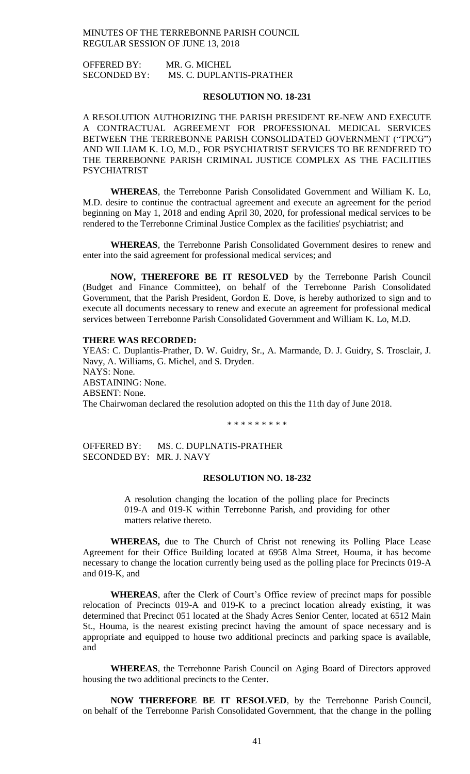OFFERED BY: MR. G. MICHEL SECONDED BY: MS. C. DUPLANTIS-PRATHER

### **RESOLUTION NO. 18-231**

A RESOLUTION AUTHORIZING THE PARISH PRESIDENT RE-NEW AND EXECUTE A CONTRACTUAL AGREEMENT FOR PROFESSIONAL MEDICAL SERVICES BETWEEN THE TERREBONNE PARISH CONSOLIDATED GOVERNMENT ("TPCG") AND WILLIAM K. LO, M.D., FOR PSYCHIATRIST SERVICES TO BE RENDERED TO THE TERREBONNE PARISH CRIMINAL JUSTICE COMPLEX AS THE FACILITIES PSYCHIATRIST

**WHEREAS**, the Terrebonne Parish Consolidated Government and William K. Lo, M.D. desire to continue the contractual agreement and execute an agreement for the period beginning on May 1, 2018 and ending April 30, 2020, for professional medical services to be rendered to the Terrebonne Criminal Justice Complex as the facilities' psychiatrist; and

**WHEREAS**, the Terrebonne Parish Consolidated Government desires to renew and enter into the said agreement for professional medical services; and

**NOW, THEREFORE BE IT RESOLVED** by the Terrebonne Parish Council (Budget and Finance Committee), on behalf of the Terrebonne Parish Consolidated Government, that the Parish President, Gordon E. Dove, is hereby authorized to sign and to execute all documents necessary to renew and execute an agreement for professional medical services between Terrebonne Parish Consolidated Government and William K. Lo, M.D.

### **THERE WAS RECORDED:**

YEAS: C. Duplantis-Prather, D. W. Guidry, Sr., A. Marmande, D. J. Guidry, S. Trosclair, J. Navy, A. Williams, G. Michel, and S. Dryden. NAYS: None. ABSTAINING: None. ABSENT: None. The Chairwoman declared the resolution adopted on this the 11th day of June 2018.

\* \* \* \* \* \* \* \* \*

OFFERED BY: MS. C. DUPLNATIS-PRATHER SECONDED BY: MR. J. NAVY

### **RESOLUTION NO. 18-232**

A resolution changing the location of the polling place for Precincts 019-A and 019-K within Terrebonne Parish, and providing for other matters relative thereto.

**WHEREAS,** due to The Church of Christ not renewing its Polling Place Lease Agreement for their Office Building located at 6958 Alma Street, Houma, it has become necessary to change the location currently being used as the polling place for Precincts 019-A and 019-K, and

**WHEREAS**, after the Clerk of Court's Office review of precinct maps for possible relocation of Precincts 019-A and 019-K to a precinct location already existing, it was determined that Precinct 051 located at the Shady Acres Senior Center, located at 6512 Main St., Houma, is the nearest existing precinct having the amount of space necessary and is appropriate and equipped to house two additional precincts and parking space is available, and

**WHEREAS**, the Terrebonne Parish Council on Aging Board of Directors approved housing the two additional precincts to the Center.

**NOW THEREFORE BE IT RESOLVED**, by the Terrebonne Parish Council, on behalf of the Terrebonne Parish Consolidated Government, that the change in the polling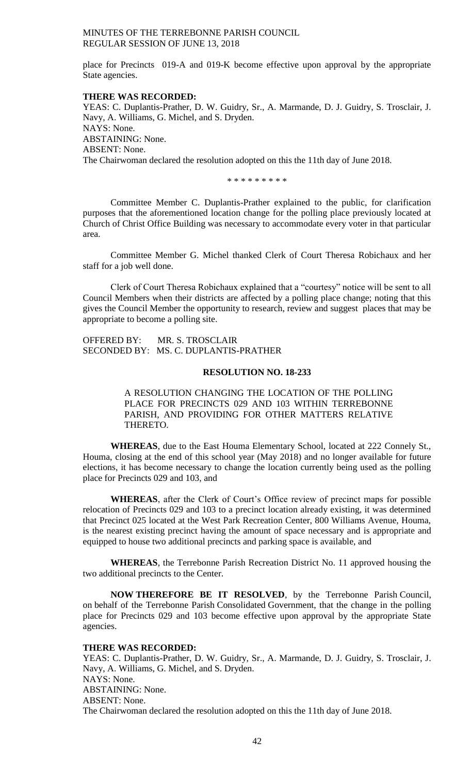place for Precincts 019-A and 019-K become effective upon approval by the appropriate State agencies.

### **THERE WAS RECORDED:**

YEAS: C. Duplantis-Prather, D. W. Guidry, Sr., A. Marmande, D. J. Guidry, S. Trosclair, J. Navy, A. Williams, G. Michel, and S. Dryden. NAYS: None. ABSTAINING: None. ABSENT: None. The Chairwoman declared the resolution adopted on this the 11th day of June 2018.

\* \* \* \* \* \* \* \* \*

Committee Member C. Duplantis-Prather explained to the public, for clarification purposes that the aforementioned location change for the polling place previously located at Church of Christ Office Building was necessary to accommodate every voter in that particular area.

Committee Member G. Michel thanked Clerk of Court Theresa Robichaux and her staff for a job well done.

Clerk of Court Theresa Robichaux explained that a "courtesy" notice will be sent to all Council Members when their districts are affected by a polling place change; noting that this gives the Council Member the opportunity to research, review and suggest places that may be appropriate to become a polling site.

OFFERED BY: MR. S. TROSCLAIR SECONDED BY: MS. C. DUPLANTIS-PRATHER

## **RESOLUTION NO. 18-233**

A RESOLUTION CHANGING THE LOCATION OF THE POLLING PLACE FOR PRECINCTS 029 AND 103 WITHIN TERREBONNE PARISH, AND PROVIDING FOR OTHER MATTERS RELATIVE THERETO.

**WHEREAS**, due to the East Houma Elementary School, located at 222 Connely St., Houma, closing at the end of this school year (May 2018) and no longer available for future elections, it has become necessary to change the location currently being used as the polling place for Precincts 029 and 103, and

**WHEREAS**, after the Clerk of Court's Office review of precinct maps for possible relocation of Precincts 029 and 103 to a precinct location already existing, it was determined that Precinct 025 located at the West Park Recreation Center, 800 Williams Avenue, Houma, is the nearest existing precinct having the amount of space necessary and is appropriate and equipped to house two additional precincts and parking space is available, and

**WHEREAS**, the Terrebonne Parish Recreation District No. 11 approved housing the two additional precincts to the Center.

**NOW THEREFORE BE IT RESOLVED**, by the Terrebonne Parish Council, on behalf of the Terrebonne Parish Consolidated Government, that the change in the polling place for Precincts 029 and 103 become effective upon approval by the appropriate State agencies.

### **THERE WAS RECORDED:**

YEAS: C. Duplantis-Prather, D. W. Guidry, Sr., A. Marmande, D. J. Guidry, S. Trosclair, J. Navy, A. Williams, G. Michel, and S. Dryden. NAYS: None. ABSTAINING: None. ABSENT: None. The Chairwoman declared the resolution adopted on this the 11th day of June 2018.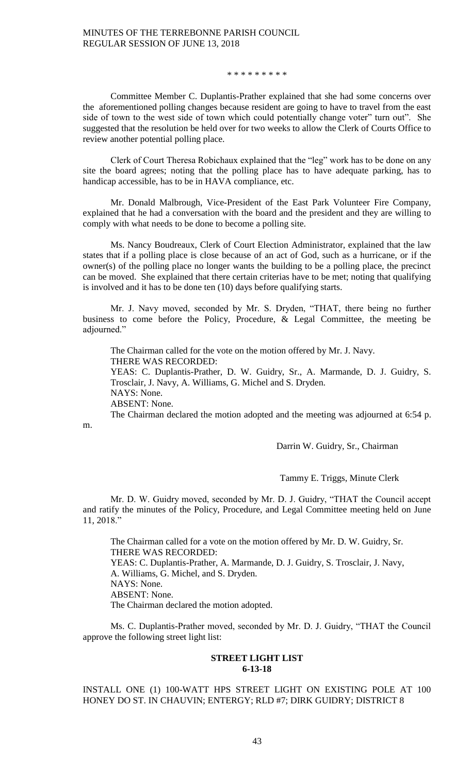#### \* \* \* \* \* \* \* \* \*

Committee Member C. Duplantis-Prather explained that she had some concerns over the aforementioned polling changes because resident are going to have to travel from the east side of town to the west side of town which could potentially change voter" turn out". She suggested that the resolution be held over for two weeks to allow the Clerk of Courts Office to review another potential polling place.

Clerk of Court Theresa Robichaux explained that the "leg" work has to be done on any site the board agrees; noting that the polling place has to have adequate parking, has to handicap accessible, has to be in HAVA compliance, etc.

Mr. Donald Malbrough, Vice-President of the East Park Volunteer Fire Company, explained that he had a conversation with the board and the president and they are willing to comply with what needs to be done to become a polling site.

Ms. Nancy Boudreaux, Clerk of Court Election Administrator, explained that the law states that if a polling place is close because of an act of God, such as a hurricane, or if the owner(s) of the polling place no longer wants the building to be a polling place, the precinct can be moved. She explained that there certain criterias have to be met; noting that qualifying is involved and it has to be done ten (10) days before qualifying starts.

Mr. J. Navy moved, seconded by Mr. S. Dryden, "THAT, there being no further business to come before the Policy, Procedure, & Legal Committee, the meeting be adjourned."

The Chairman called for the vote on the motion offered by Mr. J. Navy. THERE WAS RECORDED: YEAS: C. Duplantis-Prather, D. W. Guidry, Sr., A. Marmande, D. J. Guidry, S. Trosclair, J. Navy, A. Williams, G. Michel and S. Dryden. NAYS: None. ABSENT: None. The Chairman declared the motion adopted and the meeting was adjourned at 6:54 p.

m.

Darrin W. Guidry, Sr., Chairman

Tammy E. Triggs, Minute Clerk

Mr. D. W. Guidry moved, seconded by Mr. D. J. Guidry, "THAT the Council accept and ratify the minutes of the Policy, Procedure, and Legal Committee meeting held on June 11, 2018."

The Chairman called for a vote on the motion offered by Mr. D. W. Guidry, Sr. THERE WAS RECORDED: YEAS: C. Duplantis-Prather, A. Marmande, D. J. Guidry, S. Trosclair, J. Navy, A. Williams, G. Michel, and S. Dryden. NAYS: None. ABSENT: None. The Chairman declared the motion adopted.

Ms. C. Duplantis-Prather moved, seconded by Mr. D. J. Guidry, "THAT the Council approve the following street light list:

## **STREET LIGHT LIST 6-13-18**

INSTALL ONE (1) 100-WATT HPS STREET LIGHT ON EXISTING POLE AT 100 HONEY DO ST. IN CHAUVIN; ENTERGY; RLD #7; DIRK GUIDRY; DISTRICT 8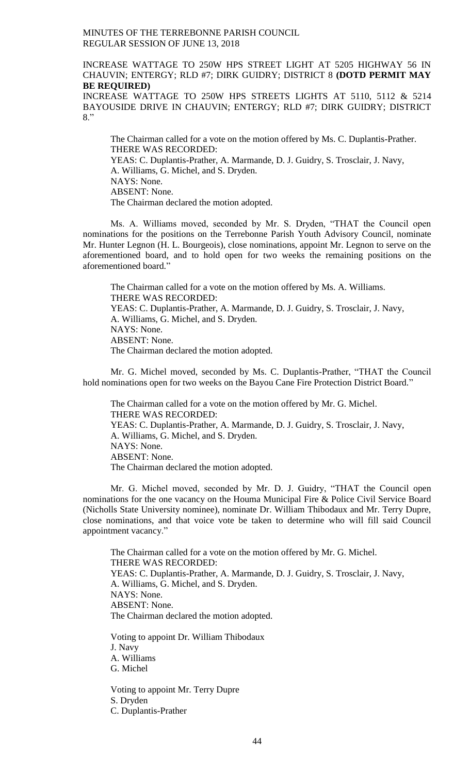## INCREASE WATTAGE TO 250W HPS STREET LIGHT AT 5205 HIGHWAY 56 IN CHAUVIN; ENTERGY; RLD #7; DIRK GUIDRY; DISTRICT 8 **(DOTD PERMIT MAY BE REQUIRED)**

INCREASE WATTAGE TO 250W HPS STREETS LIGHTS AT 5110, 5112 & 5214 BAYOUSIDE DRIVE IN CHAUVIN; ENTERGY; RLD #7; DIRK GUIDRY; DISTRICT 8."

The Chairman called for a vote on the motion offered by Ms. C. Duplantis-Prather. THERE WAS RECORDED: YEAS: C. Duplantis-Prather, A. Marmande, D. J. Guidry, S. Trosclair, J. Navy, A. Williams, G. Michel, and S. Dryden. NAYS: None. ABSENT: None. The Chairman declared the motion adopted.

Ms. A. Williams moved, seconded by Mr. S. Dryden, "THAT the Council open nominations for the positions on the Terrebonne Parish Youth Advisory Council, nominate Mr. Hunter Legnon (H. L. Bourgeois), close nominations, appoint Mr. Legnon to serve on the aforementioned board, and to hold open for two weeks the remaining positions on the aforementioned board."

The Chairman called for a vote on the motion offered by Ms. A. Williams. THERE WAS RECORDED: YEAS: C. Duplantis-Prather, A. Marmande, D. J. Guidry, S. Trosclair, J. Navy, A. Williams, G. Michel, and S. Dryden. NAYS: None. ABSENT: None. The Chairman declared the motion adopted.

Mr. G. Michel moved, seconded by Ms. C. Duplantis-Prather, "THAT the Council hold nominations open for two weeks on the Bayou Cane Fire Protection District Board."

The Chairman called for a vote on the motion offered by Mr. G. Michel. THERE WAS RECORDED: YEAS: C. Duplantis-Prather, A. Marmande, D. J. Guidry, S. Trosclair, J. Navy, A. Williams, G. Michel, and S. Dryden. NAYS: None. ABSENT: None. The Chairman declared the motion adopted.

Mr. G. Michel moved, seconded by Mr. D. J. Guidry, "THAT the Council open nominations for the one vacancy on the Houma Municipal Fire & Police Civil Service Board (Nicholls State University nominee), nominate Dr. William Thibodaux and Mr. Terry Dupre, close nominations, and that voice vote be taken to determine who will fill said Council appointment vacancy."

The Chairman called for a vote on the motion offered by Mr. G. Michel. THERE WAS RECORDED: YEAS: C. Duplantis-Prather, A. Marmande, D. J. Guidry, S. Trosclair, J. Navy, A. Williams, G. Michel, and S. Dryden. NAYS: None. ABSENT: None. The Chairman declared the motion adopted. Voting to appoint Dr. William Thibodaux

J. Navy A. Williams G. Michel

Voting to appoint Mr. Terry Dupre S. Dryden C. Duplantis-Prather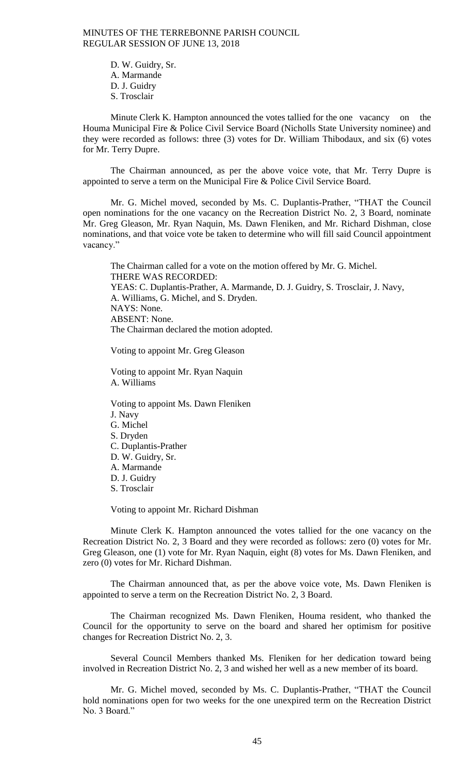> D. W. Guidry, Sr. A. Marmande D. J. Guidry S. Trosclair

Minute Clerk K. Hampton announced the votes tallied for the one vacancy on the Houma Municipal Fire & Police Civil Service Board (Nicholls State University nominee) and they were recorded as follows: three (3) votes for Dr. William Thibodaux, and six (6) votes for Mr. Terry Dupre.

The Chairman announced, as per the above voice vote, that Mr. Terry Dupre is appointed to serve a term on the Municipal Fire & Police Civil Service Board.

Mr. G. Michel moved, seconded by Ms. C. Duplantis-Prather, "THAT the Council open nominations for the one vacancy on the Recreation District No. 2, 3 Board, nominate Mr. Greg Gleason, Mr. Ryan Naquin, Ms. Dawn Fleniken, and Mr. Richard Dishman, close nominations, and that voice vote be taken to determine who will fill said Council appointment vacancy."

The Chairman called for a vote on the motion offered by Mr. G. Michel. THERE WAS RECORDED: YEAS: C. Duplantis-Prather, A. Marmande, D. J. Guidry, S. Trosclair, J. Navy, A. Williams, G. Michel, and S. Dryden. NAYS: None. ABSENT: None. The Chairman declared the motion adopted.

Voting to appoint Mr. Greg Gleason

Voting to appoint Mr. Ryan Naquin A. Williams

Voting to appoint Ms. Dawn Fleniken J. Navy G. Michel S. Dryden C. Duplantis-Prather D. W. Guidry, Sr. A. Marmande D. J. Guidry S. Trosclair

Voting to appoint Mr. Richard Dishman

Minute Clerk K. Hampton announced the votes tallied for the one vacancy on the Recreation District No. 2, 3 Board and they were recorded as follows: zero (0) votes for Mr. Greg Gleason, one (1) vote for Mr. Ryan Naquin, eight (8) votes for Ms. Dawn Fleniken, and zero (0) votes for Mr. Richard Dishman.

The Chairman announced that, as per the above voice vote, Ms. Dawn Fleniken is appointed to serve a term on the Recreation District No. 2, 3 Board.

The Chairman recognized Ms. Dawn Fleniken, Houma resident, who thanked the Council for the opportunity to serve on the board and shared her optimism for positive changes for Recreation District No. 2, 3.

Several Council Members thanked Ms. Fleniken for her dedication toward being involved in Recreation District No. 2, 3 and wished her well as a new member of its board.

Mr. G. Michel moved, seconded by Ms. C. Duplantis-Prather, "THAT the Council hold nominations open for two weeks for the one unexpired term on the Recreation District No. 3 Board."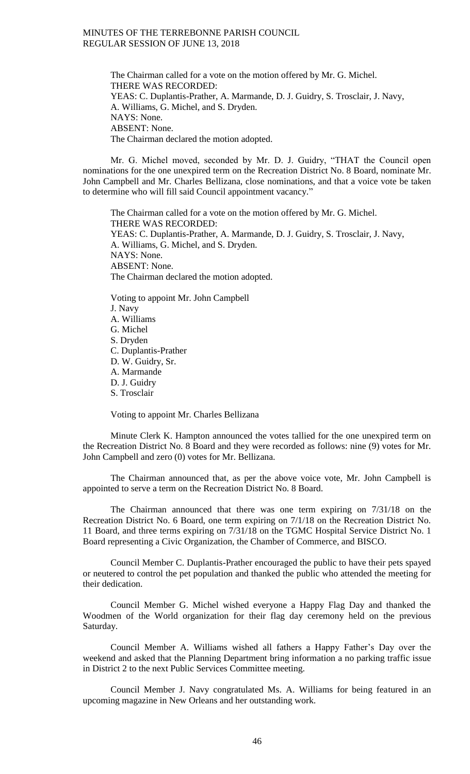The Chairman called for a vote on the motion offered by Mr. G. Michel. THERE WAS RECORDED: YEAS: C. Duplantis-Prather, A. Marmande, D. J. Guidry, S. Trosclair, J. Navy, A. Williams, G. Michel, and S. Dryden. NAYS: None. ABSENT: None. The Chairman declared the motion adopted.

Mr. G. Michel moved, seconded by Mr. D. J. Guidry, "THAT the Council open nominations for the one unexpired term on the Recreation District No. 8 Board, nominate Mr. John Campbell and Mr. Charles Bellizana, close nominations, and that a voice vote be taken to determine who will fill said Council appointment vacancy."

The Chairman called for a vote on the motion offered by Mr. G. Michel. THERE WAS RECORDED: YEAS: C. Duplantis-Prather, A. Marmande, D. J. Guidry, S. Trosclair, J. Navy, A. Williams, G. Michel, and S. Dryden. NAYS: None. ABSENT: None. The Chairman declared the motion adopted.

Voting to appoint Mr. John Campbell J. Navy A. Williams G. Michel S. Dryden C. Duplantis-Prather D. W. Guidry, Sr. A. Marmande D. J. Guidry S. Trosclair

Voting to appoint Mr. Charles Bellizana

Minute Clerk K. Hampton announced the votes tallied for the one unexpired term on the Recreation District No. 8 Board and they were recorded as follows: nine (9) votes for Mr. John Campbell and zero (0) votes for Mr. Bellizana.

The Chairman announced that, as per the above voice vote, Mr. John Campbell is appointed to serve a term on the Recreation District No. 8 Board.

The Chairman announced that there was one term expiring on 7/31/18 on the Recreation District No. 6 Board, one term expiring on 7/1/18 on the Recreation District No. 11 Board, and three terms expiring on 7/31/18 on the TGMC Hospital Service District No. 1 Board representing a Civic Organization, the Chamber of Commerce, and BISCO.

Council Member C. Duplantis-Prather encouraged the public to have their pets spayed or neutered to control the pet population and thanked the public who attended the meeting for their dedication.

Council Member G. Michel wished everyone a Happy Flag Day and thanked the Woodmen of the World organization for their flag day ceremony held on the previous Saturday.

Council Member A. Williams wished all fathers a Happy Father's Day over the weekend and asked that the Planning Department bring information a no parking traffic issue in District 2 to the next Public Services Committee meeting.

Council Member J. Navy congratulated Ms. A. Williams for being featured in an upcoming magazine in New Orleans and her outstanding work.